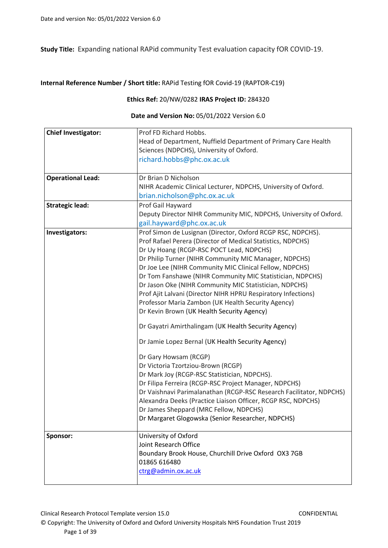**Study Title:** Expanding national RAPid community Test evaluation capacity fOR COVID-19.

### **Internal Reference Number / Short title:** RAPid Testing fOR Covid-19 (RAPTOR-C19)

### **Ethics Ref:** 20/NW/0282 **IRAS Project ID:** 284320

### **Date and Version No:** 05/01/2022 Version 6.0

| <b>Chief Investigator:</b> | Prof FD Richard Hobbs.                                              |
|----------------------------|---------------------------------------------------------------------|
|                            | Head of Department, Nuffield Department of Primary Care Health      |
|                            | Sciences (NDPCHS), University of Oxford.                            |
|                            | richard.hobbs@phc.ox.ac.uk                                          |
|                            |                                                                     |
| <b>Operational Lead:</b>   | Dr Brian D Nicholson                                                |
|                            | NIHR Academic Clinical Lecturer, NDPCHS, University of Oxford.      |
|                            | brian.nicholson@phc.ox.ac.uk                                        |
| <b>Strategic lead:</b>     | Prof Gail Hayward                                                   |
|                            | Deputy Director NIHR Community MIC, NDPCHS, University of Oxford.   |
|                            | gail.hayward@phc.ox.ac.uk                                           |
| Investigators:             | Prof Simon de Lusignan (Director, Oxford RCGP RSC, NDPCHS).         |
|                            | Prof Rafael Perera (Director of Medical Statistics, NDPCHS)         |
|                            | Dr Uy Hoang (RCGP-RSC POCT Lead, NDPCHS)                            |
|                            | Dr Philip Turner (NIHR Community MIC Manager, NDPCHS)               |
|                            | Dr Joe Lee (NIHR Community MIC Clinical Fellow, NDPCHS)             |
|                            | Dr Tom Fanshawe (NIHR Community MIC Statistician, NDPCHS)           |
|                            | Dr Jason Oke (NIHR Community MIC Statistician, NDPCHS)              |
|                            | Prof Ajit Lalvani (Director NIHR HPRU Respiratory Infections)       |
|                            | Professor Maria Zambon (UK Health Security Agency)                  |
|                            | Dr Kevin Brown (UK Health Security Agency)                          |
|                            | Dr Gayatri Amirthalingam (UK Health Security Agency)                |
|                            | Dr Jamie Lopez Bernal (UK Health Security Agency)                   |
|                            | Dr Gary Howsam (RCGP)                                               |
|                            | Dr Victoria Tzortziou-Brown (RCGP)                                  |
|                            | Dr Mark Joy (RCGP-RSC Statistician, NDPCHS).                        |
|                            | Dr Filipa Ferreira (RCGP-RSC Project Manager, NDPCHS)               |
|                            | Dr Vaishnavi Parimalanathan (RCGP-RSC Research Facilitator, NDPCHS) |
|                            | Alexandra Deeks (Practice Liaison Officer, RCGP RSC, NDPCHS)        |
|                            | Dr James Sheppard (MRC Fellow, NDPCHS)                              |
|                            | Dr Margaret Glogowska (Senior Researcher, NDPCHS)                   |
| Sponsor:                   | University of Oxford                                                |
|                            | Joint Research Office                                               |
|                            | Boundary Brook House, Churchill Drive Oxford OX3 7GB                |
|                            | 01865 616480                                                        |
|                            | ctrg@admin.ox.ac.uk                                                 |
|                            |                                                                     |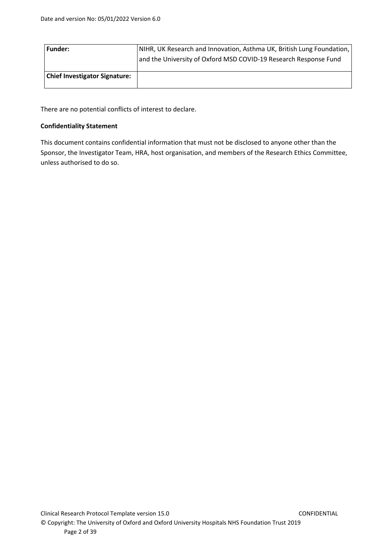| Funder:                              | NIHR, UK Research and Innovation, Asthma UK, British Lung Foundation, |
|--------------------------------------|-----------------------------------------------------------------------|
|                                      | and the University of Oxford MSD COVID-19 Research Response Fund      |
|                                      |                                                                       |
| <b>Chief Investigator Signature:</b> |                                                                       |
|                                      |                                                                       |

There are no potential conflicts of interest to declare.

### **Confidentiality Statement**

This document contains confidential information that must not be disclosed to anyone other than the Sponsor, the Investigator Team, HRA, host organisation, and members of the Research Ethics Committee, unless authorised to do so.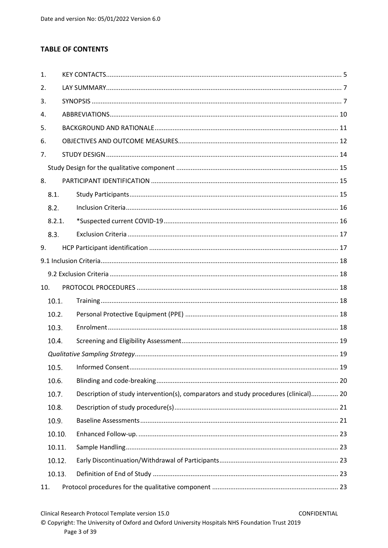# **TABLE OF CONTENTS**

| 1.  |        |  |                                                                                      |  |
|-----|--------|--|--------------------------------------------------------------------------------------|--|
| 2.  |        |  |                                                                                      |  |
| 3.  |        |  |                                                                                      |  |
| 4.  |        |  |                                                                                      |  |
| 5.  |        |  |                                                                                      |  |
| 6.  |        |  |                                                                                      |  |
| 7.  |        |  |                                                                                      |  |
|     |        |  |                                                                                      |  |
| 8.  |        |  |                                                                                      |  |
|     | 8.1.   |  |                                                                                      |  |
|     | 8.2.   |  |                                                                                      |  |
|     | 8.2.1. |  |                                                                                      |  |
|     | 8.3.   |  |                                                                                      |  |
| 9.  |        |  |                                                                                      |  |
|     |        |  |                                                                                      |  |
|     |        |  |                                                                                      |  |
| 10. |        |  |                                                                                      |  |
|     | 10.1.  |  |                                                                                      |  |
|     | 10.2.  |  |                                                                                      |  |
|     | 10.3.  |  |                                                                                      |  |
|     | 10.4.  |  |                                                                                      |  |
|     |        |  |                                                                                      |  |
|     | 10.5.  |  |                                                                                      |  |
|     | 10.6.  |  |                                                                                      |  |
|     | 10.7.  |  | Description of study intervention(s), comparators and study procedures (clinical) 20 |  |
|     | 10.8.  |  |                                                                                      |  |
|     | 10.9.  |  |                                                                                      |  |
|     | 10.10. |  |                                                                                      |  |
|     | 10.11. |  |                                                                                      |  |
|     | 10.12. |  |                                                                                      |  |
|     | 10.13. |  |                                                                                      |  |
| 11. |        |  |                                                                                      |  |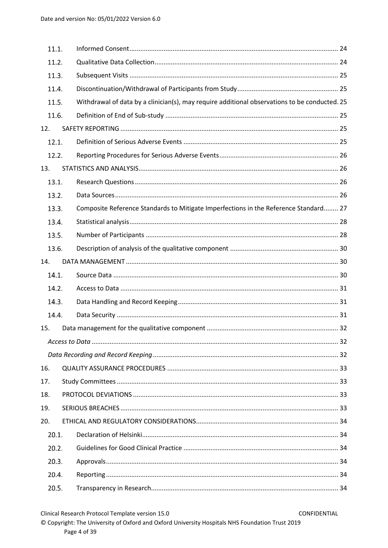| 11.1. |                                                                                               |  |
|-------|-----------------------------------------------------------------------------------------------|--|
| 11.2. |                                                                                               |  |
| 11.3. |                                                                                               |  |
| 11.4. |                                                                                               |  |
| 11.5. | Withdrawal of data by a clinician(s), may require additional observations to be conducted. 25 |  |
| 11.6. |                                                                                               |  |
| 12.   |                                                                                               |  |
| 12.1. |                                                                                               |  |
| 12.2. |                                                                                               |  |
| 13.   |                                                                                               |  |
| 13.1. |                                                                                               |  |
| 13.2. |                                                                                               |  |
| 13.3. | Composite Reference Standards to Mitigate Imperfections in the Reference Standard 27          |  |
| 13.4. |                                                                                               |  |
| 13.5. |                                                                                               |  |
| 13.6. |                                                                                               |  |
| 14.   |                                                                                               |  |
| 14.1. |                                                                                               |  |
| 14.2. |                                                                                               |  |
| 14.3. |                                                                                               |  |
| 14.4. |                                                                                               |  |
| 15.   |                                                                                               |  |
|       |                                                                                               |  |
|       |                                                                                               |  |
| 16.   |                                                                                               |  |
| 17.   |                                                                                               |  |
| 18.   |                                                                                               |  |
| 19.   |                                                                                               |  |
| 20.   |                                                                                               |  |
| 20.1. |                                                                                               |  |
| 20.2. |                                                                                               |  |
| 20.3. |                                                                                               |  |
| 20.4. |                                                                                               |  |
| 20.5. |                                                                                               |  |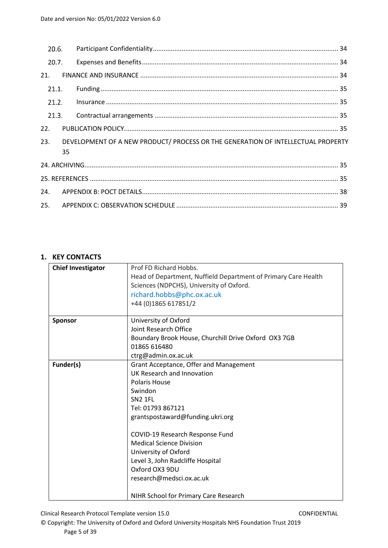| 20.6. |    |                                                                                  |  |
|-------|----|----------------------------------------------------------------------------------|--|
| 20.7. |    |                                                                                  |  |
| 21.   |    |                                                                                  |  |
| 21.1. |    |                                                                                  |  |
| 21.2. |    |                                                                                  |  |
| 21.3. |    |                                                                                  |  |
| 22.   |    |                                                                                  |  |
| 23.   | 35 | DEVELOPMENT OF A NEW PRODUCT/ PROCESS OR THE GENERATION OF INTELLECTUAL PROPERTY |  |
|       |    |                                                                                  |  |
|       |    |                                                                                  |  |
| 24.   |    |                                                                                  |  |
| 25.   |    |                                                                                  |  |

# <span id="page-4-0"></span>**1. KEY CONTACTS**

| <b>Chief Investigator</b> | Prof FD Richard Hobbs.                                         |
|---------------------------|----------------------------------------------------------------|
|                           | Head of Department, Nuffield Department of Primary Care Health |
|                           | Sciences (NDPCHS), University of Oxford.                       |
|                           | richard.hobbs@phc.ox.ac.uk                                     |
|                           | +44 (0)1865 617851/2                                           |
| Sponsor                   | University of Oxford                                           |
|                           | Joint Research Office                                          |
|                           | Boundary Brook House, Churchill Drive Oxford OX3 7GB           |
|                           | 01865 616480                                                   |
|                           | ctrg@admin.ox.ac.uk                                            |
| Funder(s)                 | Grant Acceptance, Offer and Management                         |
|                           | UK Research and Innovation                                     |
|                           | <b>Polaris House</b>                                           |
|                           | Swindon                                                        |
|                           | <b>SN2 1FL</b>                                                 |
|                           | Tel: 01793 867121                                              |
|                           | grantspostaward@funding.ukri.org                               |
|                           | COVID-19 Research Response Fund                                |
|                           | <b>Medical Science Division</b>                                |
|                           | University of Oxford                                           |
|                           | Level 3, John Radcliffe Hospital                               |
|                           | Oxford OX3 9DU                                                 |
|                           | research@medsci.ox.ac.uk                                       |
|                           |                                                                |
|                           | NIHR School for Primary Care Research                          |

Clinical Research Protocol Template version 15.0 CONFIDENTIAL

© Copyright: The University of Oxford and Oxford University Hospitals NHS Foundation Trust 2019 Page 5 of 39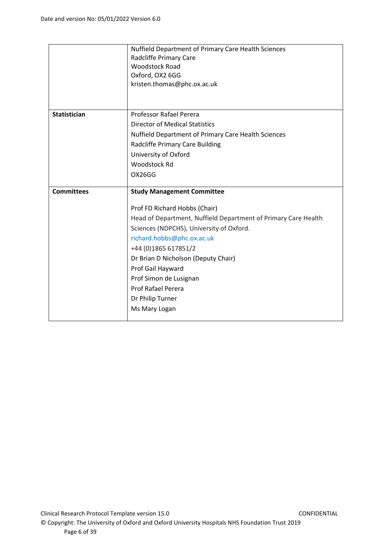|                   | Nuffield Department of Primary Care Health Sciences<br>Radcliffe Primary Care<br><b>Woodstock Road</b><br>Oxford, OX2 6GG<br>kristen.thomas@phc.ox.ac.uk |
|-------------------|----------------------------------------------------------------------------------------------------------------------------------------------------------|
|                   |                                                                                                                                                          |
| Statistician      | Professor Rafael Perera                                                                                                                                  |
|                   | <b>Director of Medical Statistics</b>                                                                                                                    |
|                   | Nuffield Department of Primary Care Health Sciences                                                                                                      |
|                   | <b>Radcliffe Primary Care Building</b>                                                                                                                   |
|                   | University of Oxford                                                                                                                                     |
|                   | <b>Woodstock Rd</b>                                                                                                                                      |
|                   | OX26GG                                                                                                                                                   |
|                   |                                                                                                                                                          |
| <b>Committees</b> | <b>Study Management Committee</b>                                                                                                                        |
|                   | Prof FD Richard Hobbs (Chair)                                                                                                                            |
|                   | Head of Department, Nuffield Department of Primary Care Health                                                                                           |
|                   | Sciences (NDPCHS), University of Oxford.                                                                                                                 |
|                   | richard.hobbs@phc.ox.ac.uk                                                                                                                               |
|                   | +44 (0) 1865 617851/2                                                                                                                                    |
|                   | Dr Brian D Nicholson (Deputy Chair)                                                                                                                      |
|                   | Prof Gail Hayward                                                                                                                                        |
|                   | Prof Simon de Lusignan                                                                                                                                   |
|                   | <b>Prof Rafael Perera</b>                                                                                                                                |
|                   | Dr Philip Turner                                                                                                                                         |
|                   | Ms Mary Logan                                                                                                                                            |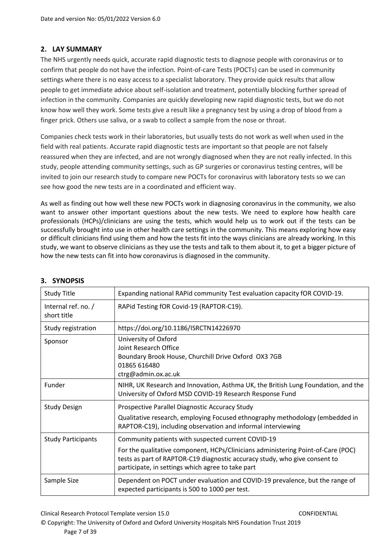# <span id="page-6-0"></span>**2. LAY SUMMARY**

The NHS urgently needs quick, accurate rapid diagnostic tests to diagnose people with coronavirus or to confirm that people do not have the infection. Point-of-care Tests (POCTs) can be used in community settings where there is no easy access to a specialist laboratory. They provide quick results that allow people to get immediate advice about self-isolation and treatment, potentially blocking further spread of infection in the community. Companies are quickly developing new rapid diagnostic tests, but we do not know how well they work. Some tests give a result like a pregnancy test by using a drop of blood from a finger prick. Others use saliva, or a swab to collect a sample from the nose or throat.

Companies check tests work in their laboratories, but usually tests do not work as well when used in the field with real patients. Accurate rapid diagnostic tests are important so that people are not falsely reassured when they are infected, and are not wrongly diagnosed when they are not really infected. In this study, people attending community settings, such as GP surgeries or coronavirus testing centres, will be invited to join our research study to compare new POCTs for coronavirus with laboratory tests so we can see how good the new tests are in a coordinated and efficient way.

As well as finding out how well these new POCTs work in diagnosing coronavirus in the community, we also want to answer other important questions about the new tests. We need to explore how health care professionals (HCPs)/clinicians are using the tests, which would help us to work out if the tests can be successfully brought into use in other health care settings in the community. This means exploring how easy or difficult clinicians find using them and how the tests fit into the ways clinicians are already working. In this study, we want to observe clinicians as they use the tests and talk to them about it, to get a bigger picture of how the new tests can fit into how coronavirus is diagnosed in the community.

| <b>Study Title</b>                 | Expanding national RAPid community Test evaluation capacity fOR COVID-19.                                                                                                                                                                                                 |
|------------------------------------|---------------------------------------------------------------------------------------------------------------------------------------------------------------------------------------------------------------------------------------------------------------------------|
| Internal ref. no. /<br>short title | RAPid Testing fOR Covid-19 (RAPTOR-C19).                                                                                                                                                                                                                                  |
| Study registration                 | https://doi.org/10.1186/ISRCTN14226970                                                                                                                                                                                                                                    |
| Sponsor                            | University of Oxford<br>Joint Research Office<br>Boundary Brook House, Churchill Drive Oxford OX3 7GB<br>01865 616480<br>ctrg@admin.ox.ac.uk                                                                                                                              |
| Funder                             | NIHR, UK Research and Innovation, Asthma UK, the British Lung Foundation, and the<br>University of Oxford MSD COVID-19 Research Response Fund                                                                                                                             |
| <b>Study Design</b>                | Prospective Parallel Diagnostic Accuracy Study<br>Qualitative research, employing Focused ethnography methodology (embedded in<br>RAPTOR-C19), including observation and informal interviewing                                                                            |
| <b>Study Participants</b>          | Community patients with suspected current COVID-19<br>For the qualitative component, HCPs/Clinicians administering Point-of-Care (POC)<br>tests as part of RAPTOR-C19 diagnostic accuracy study, who give consent to<br>participate, in settings which agree to take part |
| Sample Size                        | Dependent on POCT under evaluation and COVID-19 prevalence, but the range of<br>expected participants is 500 to 1000 per test.                                                                                                                                            |

# <span id="page-6-1"></span>**3. SYNOPSIS**

Clinical Research Protocol Template version 15.0 CONFIDENTIAL

© Copyright: The University of Oxford and Oxford University Hospitals NHS Foundation Trust 2019 Page 7 of 39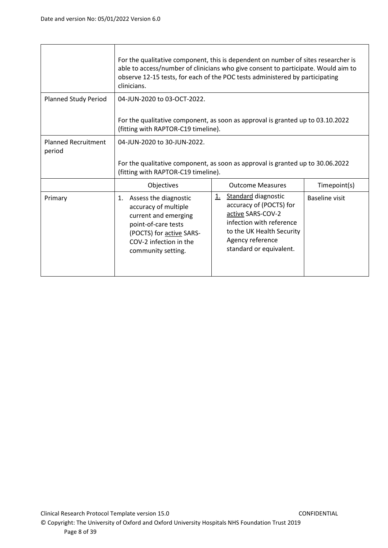|                                      | For the qualitative component, this is dependent on number of sites researcher is<br>able to access/number of clinicians who give consent to participate. Would aim to<br>observe 12-15 tests, for each of the POC tests administered by participating<br>clinicians. |                                                                                                                                                                                                 |                       |
|--------------------------------------|-----------------------------------------------------------------------------------------------------------------------------------------------------------------------------------------------------------------------------------------------------------------------|-------------------------------------------------------------------------------------------------------------------------------------------------------------------------------------------------|-----------------------|
| <b>Planned Study Period</b>          | 04-JUN-2020 to 03-OCT-2022.<br>For the qualitative component, as soon as approval is granted up to 03.10.2022<br>(fitting with RAPTOR-C19 timeline).                                                                                                                  |                                                                                                                                                                                                 |                       |
| <b>Planned Recruitment</b><br>period | 04-JUN-2020 to 30-JUN-2022.<br>For the qualitative component, as soon as approval is granted up to 30.06.2022<br>(fitting with RAPTOR-C19 timeline).                                                                                                                  |                                                                                                                                                                                                 |                       |
|                                      | Objectives                                                                                                                                                                                                                                                            | <b>Outcome Measures</b>                                                                                                                                                                         | Timepoint(s)          |
| Primary                              | Assess the diagnostic<br>1.<br>accuracy of multiple<br>current and emerging<br>point-of-care tests<br>(POCTS) for active SARS-<br>COV-2 infection in the<br>community setting.                                                                                        | <b>Standard diagnostic</b><br><u>1.</u><br>accuracy of (POCTS) for<br>active SARS-COV-2<br>infection with reference<br>to the UK Health Security<br>Agency reference<br>standard or equivalent. | <b>Baseline visit</b> |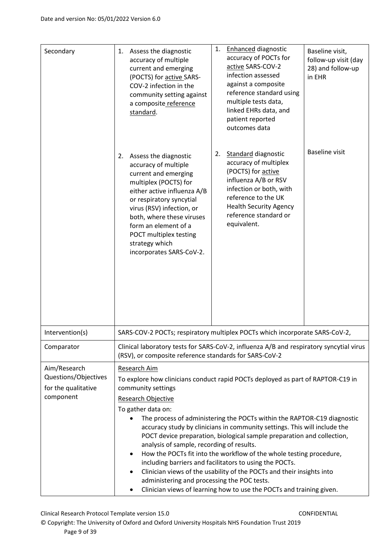| Secondary                                                                | Assess the diagnostic<br>1.<br>accuracy of multiple<br>current and emerging<br>(POCTS) for active SARS-<br>COV-2 infection in the<br>community setting against<br>a composite reference<br>standard.                                                                                                                                                                                                                                                                                                                                                                                                                                                                                                                                                                                                                             | <b>Enhanced diagnostic</b><br>1.<br>accuracy of POCTs for<br>active SARS-COV-2<br>infection assessed<br>against a composite<br>reference standard using<br>multiple tests data,<br>linked EHRs data, and                           | Baseline visit,<br>follow-up visit (day<br>28) and follow-up<br>in EHR |
|--------------------------------------------------------------------------|----------------------------------------------------------------------------------------------------------------------------------------------------------------------------------------------------------------------------------------------------------------------------------------------------------------------------------------------------------------------------------------------------------------------------------------------------------------------------------------------------------------------------------------------------------------------------------------------------------------------------------------------------------------------------------------------------------------------------------------------------------------------------------------------------------------------------------|------------------------------------------------------------------------------------------------------------------------------------------------------------------------------------------------------------------------------------|------------------------------------------------------------------------|
|                                                                          |                                                                                                                                                                                                                                                                                                                                                                                                                                                                                                                                                                                                                                                                                                                                                                                                                                  | patient reported<br>outcomes data                                                                                                                                                                                                  |                                                                        |
|                                                                          | Assess the diagnostic<br>2.<br>accuracy of multiple<br>current and emerging<br>multiplex (POCTS) for<br>either active influenza A/B<br>or respiratory syncytial<br>virus (RSV) infection, or<br>both, where these viruses<br>form an element of a<br>POCT multiplex testing<br>strategy which<br>incorporates SARS-CoV-2.                                                                                                                                                                                                                                                                                                                                                                                                                                                                                                        | <b>Standard diagnostic</b><br>2.<br>accuracy of multiplex<br>(POCTS) for active<br>influenza A/B or RSV<br>infection or both, with<br>reference to the UK<br><b>Health Security Agency</b><br>reference standard or<br>equivalent. | <b>Baseline visit</b>                                                  |
| Intervention(s)                                                          |                                                                                                                                                                                                                                                                                                                                                                                                                                                                                                                                                                                                                                                                                                                                                                                                                                  | SARS-COV-2 POCTs; respiratory multiplex POCTs which incorporate SARS-CoV-2                                                                                                                                                         |                                                                        |
| Comparator                                                               | (RSV), or composite reference standards for SARS-CoV-2                                                                                                                                                                                                                                                                                                                                                                                                                                                                                                                                                                                                                                                                                                                                                                           | Clinical laboratory tests for SARS-CoV-2, influenza A/B and respiratory syncytial virus                                                                                                                                            |                                                                        |
| Aim/Research<br>Questions/Objectives<br>for the qualitative<br>component | Research Aim<br>To explore how clinicians conduct rapid POCTs deployed as part of RAPTOR-C19 in<br>community settings<br><b>Research Objective</b><br>To gather data on:<br>The process of administering the POCTs within the RAPTOR-C19 diagnostic<br>accuracy study by clinicians in community settings. This will include the<br>POCT device preparation, biological sample preparation and collection,<br>analysis of sample, recording of results.<br>How the POCTs fit into the workflow of the whole testing procedure,<br>$\bullet$<br>including barriers and facilitators to using the POCTs.<br>Clinician views of the usability of the POCTs and their insights into<br>$\bullet$<br>administering and processing the POC tests.<br>Clinician views of learning how to use the POCTs and training given.<br>$\bullet$ |                                                                                                                                                                                                                                    |                                                                        |

Clinical Research Protocol Template version 15.0 CONFIDENTIAL

© Copyright: The University of Oxford and Oxford University Hospitals NHS Foundation Trust 2019 Page 9 of 39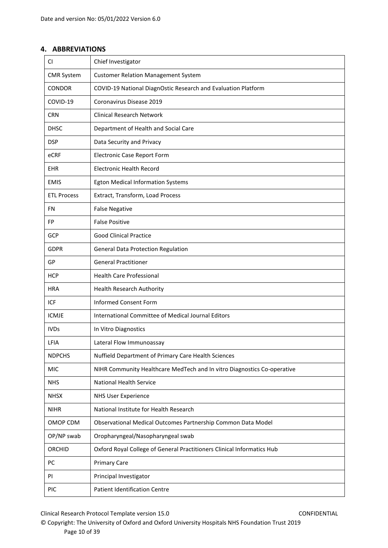# <span id="page-9-0"></span>**4. ABBREVIATIONS**

| CI.                | Chief Investigator                                                      |
|--------------------|-------------------------------------------------------------------------|
| <b>CMR System</b>  | <b>Customer Relation Management System</b>                              |
| <b>CONDOR</b>      | COVID-19 National DiagnOstic Research and Evaluation Platform           |
| COVID-19           | Coronavirus Disease 2019                                                |
| <b>CRN</b>         | <b>Clinical Research Network</b>                                        |
| <b>DHSC</b>        | Department of Health and Social Care                                    |
| <b>DSP</b>         | Data Security and Privacy                                               |
| eCRF               | <b>Electronic Case Report Form</b>                                      |
| <b>EHR</b>         | <b>Electronic Health Record</b>                                         |
| <b>EMIS</b>        | <b>Egton Medical Information Systems</b>                                |
| <b>ETL Process</b> | Extract, Transform, Load Process                                        |
| FN.                | <b>False Negative</b>                                                   |
| FP                 | <b>False Positive</b>                                                   |
| <b>GCP</b>         | <b>Good Clinical Practice</b>                                           |
| <b>GDPR</b>        | General Data Protection Regulation                                      |
| GP                 | <b>General Practitioner</b>                                             |
| <b>HCP</b>         | <b>Health Care Professional</b>                                         |
| <b>HRA</b>         | <b>Health Research Authority</b>                                        |
| <b>ICF</b>         | <b>Informed Consent Form</b>                                            |
| <b>ICMJE</b>       | International Committee of Medical Journal Editors                      |
| <b>IVDs</b>        | In Vitro Diagnostics                                                    |
| LFIA               | Lateral Flow Immunoassay                                                |
| <b>NDPCHS</b>      | Nuffield Department of Primary Care Health Sciences                     |
| <b>MIC</b>         | NIHR Community Healthcare MedTech and In vitro Diagnostics Co-operative |
| <b>NHS</b>         | <b>National Health Service</b>                                          |
| <b>NHSX</b>        | <b>NHS User Experience</b>                                              |
| <b>NIHR</b>        | National Institute for Health Research                                  |
| OMOP CDM           | Observational Medical Outcomes Partnership Common Data Model            |
| OP/NP swab         | Oropharyngeal/Nasopharyngeal swab                                       |
| <b>ORCHID</b>      | Oxford Royal College of General Practitioners Clinical Informatics Hub  |
| PC                 | <b>Primary Care</b>                                                     |
| PI                 | Principal Investigator                                                  |
| PIC                | <b>Patient Identification Centre</b>                                    |

Clinical Research Protocol Template version 15.0 CONFIDENTIAL

© Copyright: The University of Oxford and Oxford University Hospitals NHS Foundation Trust 2019 Page 10 of 39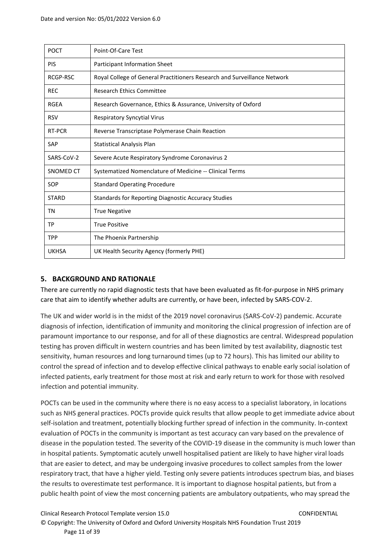| <b>POCT</b>      | Point-Of-Care Test                                                       |
|------------------|--------------------------------------------------------------------------|
| <b>PIS</b>       | Participant Information Sheet                                            |
| RCGP-RSC         | Royal College of General Practitioners Research and Surveillance Network |
| <b>REC</b>       | <b>Research Ethics Committee</b>                                         |
| <b>RGEA</b>      | Research Governance, Ethics & Assurance, University of Oxford            |
| <b>RSV</b>       | <b>Respiratory Syncytial Virus</b>                                       |
| RT-PCR           | Reverse Transcriptase Polymerase Chain Reaction                          |
| <b>SAP</b>       | <b>Statistical Analysis Plan</b>                                         |
| SARS-CoV-2       | Severe Acute Respiratory Syndrome Coronavirus 2                          |
| <b>SNOMED CT</b> | Systematized Nomenclature of Medicine -- Clinical Terms                  |
| SOP              | <b>Standard Operating Procedure</b>                                      |
| <b>STARD</b>     | <b>Standards for Reporting Diagnostic Accuracy Studies</b>               |
| ΤN               | <b>True Negative</b>                                                     |
| TP               | <b>True Positive</b>                                                     |
| <b>TPP</b>       | The Phoenix Partnership                                                  |
| <b>UKHSA</b>     | UK Health Security Agency (formerly PHE)                                 |

# <span id="page-10-0"></span>**5. BACKGROUND AND RATIONALE**

There are currently no rapid diagnostic tests that have been evaluated as fit-for-purpose in NHS primary care that aim to identify whether adults are currently, or have been, infected by SARS-COV-2.

The UK and wider world is in the midst of the 2019 novel coronavirus (SARS-CoV-2) pandemic. Accurate diagnosis of infection, identification of immunity and monitoring the clinical progression of infection are of paramount importance to our response, and for all of these diagnostics are central. Widespread population testing has proven difficult in western countries and has been limited by test availability, diagnostic test sensitivity, human resources and long turnaround times (up to 72 hours). This has limited our ability to control the spread of infection and to develop effective clinical pathways to enable early social isolation of infected patients, early treatment for those most at risk and early return to work for those with resolved infection and potential immunity.

POCTs can be used in the community where there is no easy access to a specialist laboratory, in locations such as NHS general practices. POCTs provide quick results that allow people to get immediate advice about self-isolation and treatment, potentially blocking further spread of infection in the community. In-context evaluation of POCTs in the community is important as test accuracy can vary based on the prevalence of disease in the population tested. The severity of the COVID-19 disease in the community is much lower than in hospital patients. Symptomatic acutely unwell hospitalised patient are likely to have higher viral loads that are easier to detect, and may be undergoing invasive procedures to collect samples from the lower respiratory tract, that have a higher yield. Testing only severe patients introduces spectrum bias, and biases the results to overestimate test performance. It is important to diagnose hospital patients, but from a public health point of view the most concerning patients are ambulatory outpatients, who may spread the

Clinical Research Protocol Template version 15.0 CONFIDENTIAL © Copyright: The University of Oxford and Oxford University Hospitals NHS Foundation Trust 2019 Page 11 of 39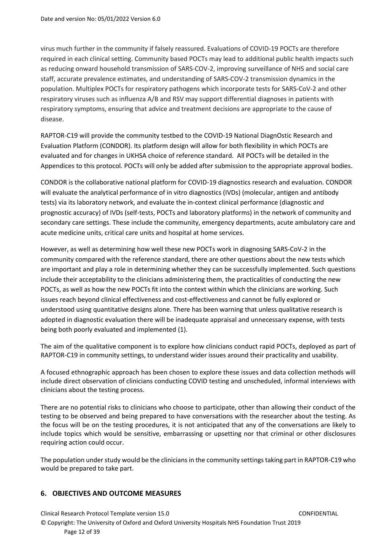virus much further in the community if falsely reassured. Evaluations of COVID-19 POCTs are therefore required in each clinical setting. Community based POCTs may lead to additional public health impacts such as reducing onward household transmission of SARS-COV-2, improving surveillance of NHS and social care staff, accurate prevalence estimates, and understanding of SARS-COV-2 transmission dynamics in the population. Multiplex POCTs for respiratory pathogens which incorporate tests for SARS-CoV-2 and other respiratory viruses such as influenza A/B and RSV may support differential diagnoses in patients with respiratory symptoms, ensuring that advice and treatment decisions are appropriate to the cause of disease.

RAPTOR-C19 will provide the community testbed to the COVID-19 National DiagnOstic Research and Evaluation Platform (CONDOR). Its platform design will allow for both flexibility in which POCTs are evaluated and for changes in UKHSA choice of reference standard. All POCTs will be detailed in the Appendices to this protocol. POCTs will only be added after submission to the appropriate approval bodies.

CONDOR is the collaborative national platform for COVID-19 diagnostics research and evaluation. CONDOR will evaluate the analytical performance of in vitro diagnostics (IVDs) (molecular, antigen and antibody tests) via its laboratory network, and evaluate the in-context clinical performance (diagnostic and prognostic accuracy) of IVDs (self-tests, POCTs and laboratory platforms) in the network of community and secondary care settings. These include the community, emergency departments, acute ambulatory care and acute medicine units, critical care units and hospital at home services.

However, as well as determining how well these new POCTs work in diagnosing SARS-CoV-2 in the community compared with the reference standard, there are other questions about the new tests which are important and play a role in determining whether they can be successfully implemented. Such questions include their acceptability to the clinicians administering them, the practicalities of conducting the new POCTs, as well as how the new POCTs fit into the context within which the clinicians are working. Such issues reach beyond clinical effectiveness and cost-effectiveness and cannot be fully explored or understood using quantitative designs alone. There has been warning that unless qualitative research is adopted in diagnostic evaluation there will be inadequate appraisal and unnecessary expense, with tests being both poorly evaluated and implemented (1).

The aim of the qualitative component is to explore how clinicians conduct rapid POCTs, deployed as part of RAPTOR-C19 in community settings, to understand wider issues around their practicality and usability.

A focused ethnographic approach has been chosen to explore these issues and data collection methods will include direct observation of clinicians conducting COVID testing and unscheduled, informal interviews with clinicians about the testing process.

There are no potential risks to clinicians who choose to participate, other than allowing their conduct of the testing to be observed and being prepared to have conversations with the researcher about the testing. As the focus will be on the testing procedures, it is not anticipated that any of the conversations are likely to include topics which would be sensitive, embarrassing or upsetting nor that criminal or other disclosures requiring action could occur.

The population under study would be the clinicians in the community settings taking part in RAPTOR-C19 who would be prepared to take part.

# <span id="page-11-0"></span>**6. OBJECTIVES AND OUTCOME MEASURES**

Clinical Research Protocol Template version 15.0 CONFIDENTIAL © Copyright: The University of Oxford and Oxford University Hospitals NHS Foundation Trust 2019 Page 12 of 39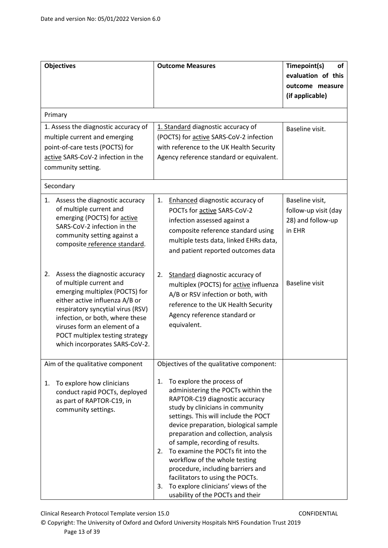|    | <b>Objectives</b>                                                                                                                                                                                                                                                                                          | <b>Outcome Measures</b>                                                                                                                                                                                                                                                                                                                                                                                                                                                                                                                        | Timepoint(s)<br>οf<br>evaluation of this<br>outcome measure<br>(if applicable) |
|----|------------------------------------------------------------------------------------------------------------------------------------------------------------------------------------------------------------------------------------------------------------------------------------------------------------|------------------------------------------------------------------------------------------------------------------------------------------------------------------------------------------------------------------------------------------------------------------------------------------------------------------------------------------------------------------------------------------------------------------------------------------------------------------------------------------------------------------------------------------------|--------------------------------------------------------------------------------|
|    | Primary                                                                                                                                                                                                                                                                                                    |                                                                                                                                                                                                                                                                                                                                                                                                                                                                                                                                                |                                                                                |
|    | 1. Assess the diagnostic accuracy of<br>multiple current and emerging<br>point-of-care tests (POCTS) for<br>active SARS-CoV-2 infection in the<br>community setting.                                                                                                                                       | 1. Standard diagnostic accuracy of<br>(POCTS) for active SARS-CoV-2 infection<br>with reference to the UK Health Security<br>Agency reference standard or equivalent.                                                                                                                                                                                                                                                                                                                                                                          | Baseline visit.                                                                |
|    | Secondary                                                                                                                                                                                                                                                                                                  |                                                                                                                                                                                                                                                                                                                                                                                                                                                                                                                                                |                                                                                |
| 1. | Assess the diagnostic accuracy<br>of multiple current and<br>emerging (POCTS) for active<br>SARS-CoV-2 infection in the<br>community setting against a<br>composite reference standard.                                                                                                                    | Enhanced diagnostic accuracy of<br>1.<br>POCTs for active SARS-CoV-2<br>infection assessed against a<br>composite reference standard using<br>multiple tests data, linked EHRs data,<br>and patient reported outcomes data                                                                                                                                                                                                                                                                                                                     | Baseline visit,<br>follow-up visit (day<br>28) and follow-up<br>in EHR         |
| 2. | Assess the diagnostic accuracy<br>of multiple current and<br>emerging multiplex (POCTS) for<br>either active influenza A/B or<br>respiratory syncytial virus (RSV)<br>infection, or both, where these<br>viruses form an element of a<br>POCT multiplex testing strategy<br>which incorporates SARS-CoV-2. | Standard diagnostic accuracy of<br>2.<br>multiplex (POCTS) for active influenza<br>A/B or RSV infection or both, with<br>reference to the UK Health Security<br>Agency reference standard or<br>equivalent.                                                                                                                                                                                                                                                                                                                                    | <b>Baseline visit</b>                                                          |
|    | Aim of the qualitative component                                                                                                                                                                                                                                                                           | Objectives of the qualitative component:                                                                                                                                                                                                                                                                                                                                                                                                                                                                                                       |                                                                                |
| 1. | To explore how clinicians<br>conduct rapid POCTs, deployed<br>as part of RAPTOR-C19, in<br>community settings.                                                                                                                                                                                             | To explore the process of<br>1.<br>administering the POCTs within the<br>RAPTOR-C19 diagnostic accuracy<br>study by clinicians in community<br>settings. This will include the POCT<br>device preparation, biological sample<br>preparation and collection, analysis<br>of sample, recording of results.<br>To examine the POCTs fit into the<br>2.<br>workflow of the whole testing<br>procedure, including barriers and<br>facilitators to using the POCTs.<br>To explore clinicians' views of the<br>3.<br>usability of the POCTs and their |                                                                                |

Clinical Research Protocol Template version 15.0 CONFIDENTIAL

© Copyright: The University of Oxford and Oxford University Hospitals NHS Foundation Trust 2019 Page 13 of 39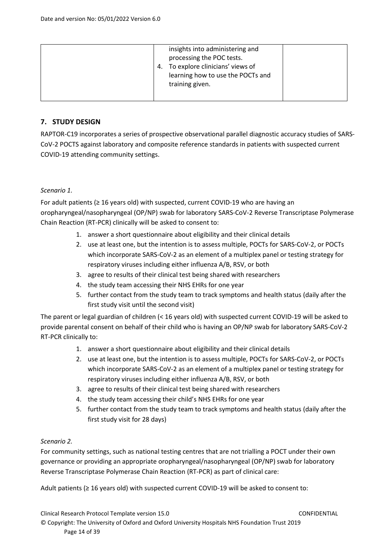| insights into administering and<br>processing the POC tests.<br>To explore clinicians' views of<br>4.<br>learning how to use the POCTs and<br>training given. |
|---------------------------------------------------------------------------------------------------------------------------------------------------------------|
|---------------------------------------------------------------------------------------------------------------------------------------------------------------|

# <span id="page-13-0"></span>**7. STUDY DESIGN**

RAPTOR-C19 incorporates a series of prospective observational parallel diagnostic accuracy studies of SARS-CoV-2 POCTS against laboratory and composite reference standards in patients with suspected current COVID-19 attending community settings.

### *Scenario 1.*

For adult patients (≥ 16 years old) with suspected, current COVID-19 who are having an oropharyngeal/nasopharyngeal (OP/NP) swab for laboratory SARS-CoV-2 Reverse Transcriptase Polymerase Chain Reaction (RT-PCR) clinically will be asked to consent to:

- 1. answer a short questionnaire about eligibility and their clinical details
- 2. use at least one, but the intention is to assess multiple, POCTs for SARS-CoV-2, or POCTs which incorporate SARS-CoV-2 as an element of a multiplex panel or testing strategy for respiratory viruses including either influenza A/B, RSV, or both
- 3. agree to results of their clinical test being shared with researchers
- 4. the study team accessing their NHS EHRs for one year
- 5. further contact from the study team to track symptoms and health status (daily after the first study visit until the second visit)

The parent or legal guardian of children (< 16 years old) with suspected current COVID-19 will be asked to provide parental consent on behalf of their child who is having an OP/NP swab for laboratory SARS-CoV-2 RT-PCR clinically to:

- 1. answer a short questionnaire about eligibility and their clinical details
- 2. use at least one, but the intention is to assess multiple, POCTs for SARS-CoV-2, or POCTs which incorporate SARS-CoV-2 as an element of a multiplex panel or testing strategy for respiratory viruses including either influenza A/B, RSV, or both
- 3. agree to results of their clinical test being shared with researchers
- 4. the study team accessing their child's NHS EHRs for one year
- 5. further contact from the study team to track symptoms and health status (daily after the first study visit for 28 days)

## *Scenario 2.*

For community settings, such as national testing centres that are not trialling a POCT under their own governance or providing an appropriate oropharyngeal/nasopharyngeal (OP/NP) swab for laboratory Reverse Transcriptase Polymerase Chain Reaction (RT-PCR) as part of clinical care:

Adult patients (≥ 16 years old) with suspected current COVID-19 will be asked to consent to: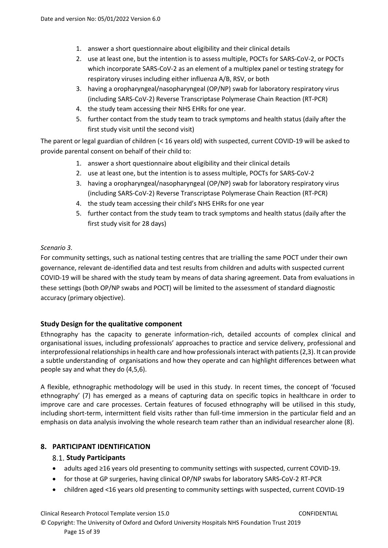- 1. answer a short questionnaire about eligibility and their clinical details
- 2. use at least one, but the intention is to assess multiple, POCTs for SARS-CoV-2, or POCTs which incorporate SARS-CoV-2 as an element of a multiplex panel or testing strategy for respiratory viruses including either influenza A/B, RSV, or both
- 3. having a oropharyngeal/nasopharyngeal (OP/NP) swab for laboratory respiratory virus (including SARS-CoV-2) Reverse Transcriptase Polymerase Chain Reaction (RT-PCR)
- 4. the study team accessing their NHS EHRs for one year.
- 5. further contact from the study team to track symptoms and health status (daily after the first study visit until the second visit)

The parent or legal guardian of children (< 16 years old) with suspected, current COVID-19 will be asked to provide parental consent on behalf of their child to:

- 1. answer a short questionnaire about eligibility and their clinical details
- 2. use at least one, but the intention is to assess multiple, POCTs for SARS-CoV-2
- 3. having a oropharyngeal/nasopharyngeal (OP/NP) swab for laboratory respiratory virus (including SARS-CoV-2) Reverse Transcriptase Polymerase Chain Reaction (RT-PCR)
- 4. the study team accessing their child's NHS EHRs for one year
- 5. further contact from the study team to track symptoms and health status (daily after the first study visit for 28 days)

### *Scenario 3.*

For community settings, such as national testing centres that are trialling the same POCT under their own governance, relevant de-identified data and test results from children and adults with suspected current COVID-19 will be shared with the study team by means of data sharing agreement. Data from evaluations in these settings (both OP/NP swabs and POCT) will be limited to the assessment of standard diagnostic accuracy (primary objective).

## <span id="page-14-0"></span>**Study Design for the qualitative component**

Ethnography has the capacity to generate information-rich, detailed accounts of complex clinical and organisational issues, including professionals' approaches to practice and service delivery, professional and interprofessional relationships in health care and how professionals interact with patients (2,3). It can provide a subtle understanding of organisations and how they operate and can highlight differences between what people say and what they do (4,5,6).

A flexible, ethnographic methodology will be used in this study. In recent times, the concept of 'focused ethnography' (7) has emerged as a means of capturing data on specific topics in healthcare in order to improve care and care processes. Certain features of focused ethnography will be utilised in this study, including short-term, intermittent field visits rather than full-time immersion in the particular field and an emphasis on data analysis involving the whole research team rather than an individual researcher alone (8).

## <span id="page-14-2"></span><span id="page-14-1"></span>**8. PARTICIPANT IDENTIFICATION**

## **Study Participants**

- adults aged ≥16 years old presenting to community settings with suspected, current COVID-19.
- for those at GP surgeries, having clinical OP/NP swabs for laboratory SARS-CoV-2 RT-PCR
- children aged <16 years old presenting to community settings with suspected, current COVID-19

Clinical Research Protocol Template version 15.0 CONFIDENTIAL © Copyright: The University of Oxford and Oxford University Hospitals NHS Foundation Trust 2019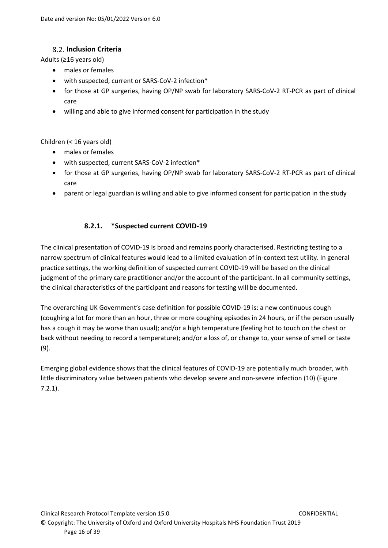# **Inclusion Criteria**

<span id="page-15-0"></span>Adults (≥16 years old)

- males or females
- with suspected, current or SARS-CoV-2 infection\*
- for those at GP surgeries, having OP/NP swab for laboratory SARS-CoV-2 RT-PCR as part of clinical care
- willing and able to give informed consent for participation in the study

## Children (< 16 years old)

- males or females
- with suspected, current SARS-CoV-2 infection\*
- for those at GP surgeries, having OP/NP swab for laboratory SARS-CoV-2 RT-PCR as part of clinical care
- parent or legal guardian is willing and able to give informed consent for participation in the study

# **8.2.1. \*Suspected current COVID-19**

<span id="page-15-1"></span>The clinical presentation of COVID-19 is broad and remains poorly characterised. Restricting testing to a narrow spectrum of clinical features would lead to a limited evaluation of in-context test utility. In general practice settings, the working definition of suspected current COVID-19 will be based on the clinical judgment of the primary care practitioner and/or the account of the participant. In all community settings, the clinical characteristics of the participant and reasons for testing will be documented.

The overarching UK Government's case definition for possible COVID-19 is: a new continuous cough (coughing a lot for more than an hour, three or more coughing episodes in 24 hours, or if the person usually has a cough it may be worse than usual); and/or a high temperature (feeling hot to touch on the chest or back without needing to record a temperature); and/or a loss of, or change to, your sense of smell or taste (9).

Emerging global evidence shows that the clinical features of COVID-19 are potentially much broader, with little discriminatory value between patients who develop severe and non-severe infection (10) (Figure 7.2.1).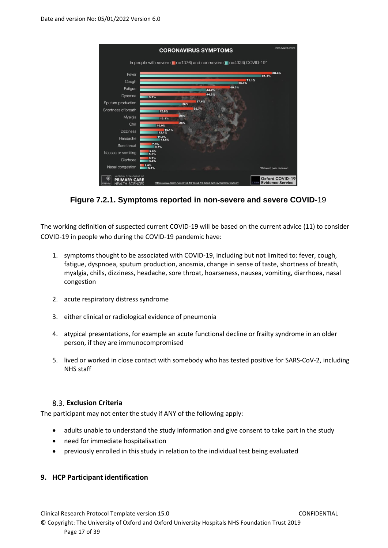

**Figure 7.2.1. Symptoms reported in non-severe and severe COVID-**19

The working definition of suspected current COVID-19 will be based on the current advice (11) to consider COVID-19 in people who during the COVID-19 pandemic have:

- 1. symptoms thought to be associated with COVID-19, including but not limited to: fever, cough, fatigue, dyspnoea, sputum production, anosmia, change in sense of taste, shortness of breath, myalgia, chills, dizziness, headache, sore throat, hoarseness, nausea, vomiting, diarrhoea, nasal congestion
- 2. acute respiratory distress syndrome
- 3. either clinical or radiological evidence of pneumonia
- 4. atypical presentations, for example an acute functional decline or frailty syndrome in an older person, if they are immunocompromised
- 5. lived or worked in close contact with somebody who has tested positive for SARS-CoV-2, including NHS staff

## <span id="page-16-0"></span>**Exclusion Criteria**

The participant may not enter the study if ANY of the following apply:

- adults unable to understand the study information and give consent to take part in the study
- need for immediate hospitalisation
- <span id="page-16-1"></span>• previously enrolled in this study in relation to the individual test being evaluated

## **9. HCP Participant identification**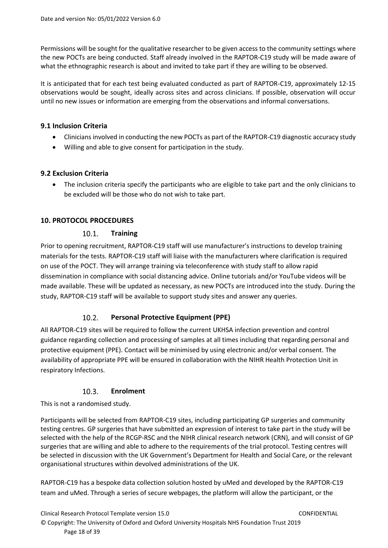Permissions will be sought for the qualitative researcher to be given access to the community settings where the new POCTs are being conducted. Staff already involved in the RAPTOR-C19 study will be made aware of what the ethnographic research is about and invited to take part if they are willing to be observed.

It is anticipated that for each test being evaluated conducted as part of RAPTOR-C19, approximately 12-15 observations would be sought, ideally across sites and across clinicians. If possible, observation will occur until no new issues or information are emerging from the observations and informal conversations.

## <span id="page-17-0"></span>**9.1 Inclusion Criteria**

- Clinicians involved in conducting the new POCTs as part of the RAPTOR-C19 diagnostic accuracy study
- <span id="page-17-1"></span>• Willing and able to give consent for participation in the study.

### **9.2 Exclusion Criteria**

• The inclusion criteria specify the participants who are eligible to take part and the only clinicians to be excluded will be those who do not wish to take part.

## <span id="page-17-3"></span><span id="page-17-2"></span>**10. PROTOCOL PROCEDURES**

#### $10.1.$ **Training**

Prior to opening recruitment, RAPTOR-C19 staff will use manufacturer's instructions to develop training materials for the tests. RAPTOR-C19 staff will liaise with the manufacturers where clarification is required on use of the POCT. They will arrange training via teleconference with study staff to allow rapid dissemination in compliance with social distancing advice. Online tutorials and/or YouTube videos will be made available. These will be updated as necessary, as new POCTs are introduced into the study. During the study, RAPTOR-C19 staff will be available to support study sites and answer any queries.

#### $10.2.$ **Personal Protective Equipment (PPE)**

<span id="page-17-4"></span>All RAPTOR-C19 sites will be required to follow the current UKHSA infection prevention and control guidance regarding collection and processing of samples at all times including that regarding personal and protective equipment (PPE). Contact will be minimised by using electronic and/or verbal consent. The availability of appropriate PPE will be ensured in collaboration with the NIHR Health Protection Unit in respiratory Infections.

#### $10.3.$ **Enrolment**

## <span id="page-17-5"></span>This is not a randomised study.

Participants will be selected from RAPTOR-C19 sites, including participating GP surgeries and community testing centres. GP surgeries that have submitted an expression of interest to take part in the study will be selected with the help of the RCGP-RSC and the NIHR clinical research network (CRN), and will consist of GP surgeries that are willing and able to adhere to the requirements of the trial protocol. Testing centres will be selected in discussion with the UK Government's Department for Health and Social Care, or the relevant organisational structures within devolved administrations of the UK.

RAPTOR-C19 has a bespoke data collection solution hosted by uMed and developed by the RAPTOR-C19 team and uMed. Through a series of secure webpages, the platform will allow the participant, or the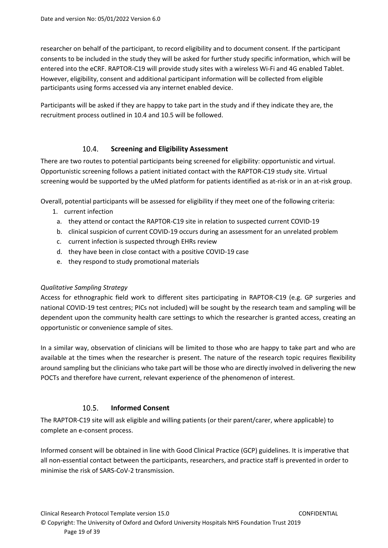researcher on behalf of the participant, to record eligibility and to document consent. If the participant consents to be included in the study they will be asked for further study specific information, which will be entered into the eCRF. RAPTOR-C19 will provide study sites with a wireless Wi-Fi and 4G enabled Tablet. However, eligibility, consent and additional participant information will be collected from eligible participants using forms accessed via any internet enabled device.

Participants will be asked if they are happy to take part in the study and if they indicate they are, the recruitment process outlined in 10.4 and 10.5 will be followed.

#### $10.4.$ **Screening and Eligibility Assessment**

<span id="page-18-0"></span>There are two routes to potential participants being screened for eligibility: opportunistic and virtual. Opportunistic screening follows a patient initiated contact with the RAPTOR-C19 study site. Virtual screening would be supported by the uMed platform for patients identified as at-risk or in an at-risk group.

Overall, potential participants will be assessed for eligibility if they meet one of the following criteria:

- 1. current infection
	- a. they attend or contact the RAPTOR-C19 site in relation to suspected current COVID-19
	- b. clinical suspicion of current COVID-19 occurs during an assessment for an unrelated problem
	- c. current infection is suspected through EHRs review
	- d. they have been in close contact with a positive COVID-19 case
	- e. they respond to study promotional materials

## <span id="page-18-1"></span>*Qualitative Sampling Strategy*

Access for ethnographic field work to different sites participating in RAPTOR-C19 (e.g. GP surgeries and national COVID-19 test centres; PICs not included) will be sought by the research team and sampling will be dependent upon the community health care settings to which the researcher is granted access, creating an opportunistic or convenience sample of sites.

In a similar way, observation of clinicians will be limited to those who are happy to take part and who are available at the times when the researcher is present. The nature of the research topic requires flexibility around sampling but the clinicians who take part will be those who are directly involved in delivering the new POCTs and therefore have current, relevant experience of the phenomenon of interest.

#### $10.5.$ **Informed Consent**

<span id="page-18-2"></span>The RAPTOR-C19 site will ask eligible and willing patients (or their parent/carer, where applicable) to complete an e-consent process.

Informed consent will be obtained in line with Good Clinical Practice (GCP) guidelines. It is imperative that all non-essential contact between the participants, researchers, and practice staff is prevented in order to minimise the risk of SARS-CoV-2 transmission.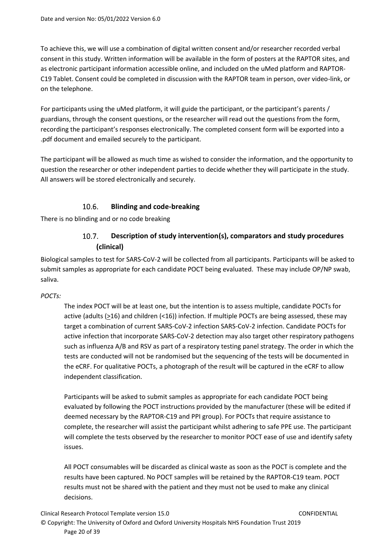To achieve this, we will use a combination of digital written consent and/or researcher recorded verbal consent in this study. Written information will be available in the form of posters at the RAPTOR sites, and as electronic participant information accessible online, and included on the uMed platform and RAPTOR-C19 Tablet. Consent could be completed in discussion with the RAPTOR team in person, over video-link, or on the telephone.

For participants using the uMed platform, it will guide the participant, or the participant's parents / guardians, through the consent questions, or the researcher will read out the questions from the form, recording the participant's responses electronically. The completed consent form will be exported into a .pdf document and emailed securely to the participant.

The participant will be allowed as much time as wished to consider the information, and the opportunity to question the researcher or other independent parties to decide whether they will participate in the study. All answers will be stored electronically and securely.

#### $10.6.$ **Blinding and code-breaking**

<span id="page-19-1"></span><span id="page-19-0"></span>There is no blinding and or no code breaking

### $10.7.$ **Description of study intervention(s), comparators and study procedures (clinical)**

Biological samples to test for SARS-CoV-2 will be collected from all participants. Participants will be asked to submit samples as appropriate for each candidate POCT being evaluated. These may include OP/NP swab, saliva.

# *POCTs:*

The index POCT will be at least one, but the intention is to assess multiple, candidate POCTs for active (adults (>16) and children (<16)) infection. If multiple POCTs are being assessed, these may target a combination of current SARS-CoV-2 infection SARS-CoV-2 infection. Candidate POCTs for active infection that incorporate SARS-CoV-2 detection may also target other respiratory pathogens such as influenza A/B and RSV as part of a respiratory testing panel strategy. The order in which the tests are conducted will not be randomised but the sequencing of the tests will be documented in the eCRF. For qualitative POCTs, a photograph of the result will be captured in the eCRF to allow independent classification.

Participants will be asked to submit samples as appropriate for each candidate POCT being evaluated by following the POCT instructions provided by the manufacturer (these will be edited if deemed necessary by the RAPTOR-C19 and PPI group). For POCTs that require assistance to complete, the researcher will assist the participant whilst adhering to safe PPE use. The participant will complete the tests observed by the researcher to monitor POCT ease of use and identify safety issues.

All POCT consumables will be discarded as clinical waste as soon as the POCT is complete and the results have been captured. No POCT samples will be retained by the RAPTOR-C19 team. POCT results must not be shared with the patient and they must not be used to make any clinical decisions.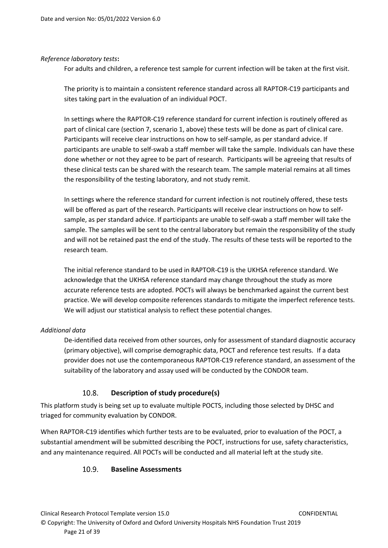## *Reference laboratory tests***:**

For adults and children, a reference test sample for current infection will be taken at the first visit.

The priority is to maintain a consistent reference standard across all RAPTOR-C19 participants and sites taking part in the evaluation of an individual POCT.

In settings where the RAPTOR-C19 reference standard for current infection is routinely offered as part of clinical care (section 7, scenario 1, above) these tests will be done as part of clinical care. Participants will receive clear instructions on how to self-sample, as per standard advice. If participants are unable to self-swab a staff member will take the sample. Individuals can have these done whether or not they agree to be part of research. Participants will be agreeing that results of these clinical tests can be shared with the research team. The sample material remains at all times the responsibility of the testing laboratory, and not study remit.

In settings where the reference standard for current infection is not routinely offered, these tests will be offered as part of the research. Participants will receive clear instructions on how to selfsample, as per standard advice. If participants are unable to self-swab a staff member will take the sample. The samples will be sent to the central laboratory but remain the responsibility of the study and will not be retained past the end of the study. The results of these tests will be reported to the research team.

The initial reference standard to be used in RAPTOR-C19 is the UKHSA reference standard. We acknowledge that the UKHSA reference standard may change throughout the study as more accurate reference tests are adopted. POCTs will always be benchmarked against the current best practice. We will develop composite references standards to mitigate the imperfect reference tests. We will adjust our statistical analysis to reflect these potential changes.

# *Additional data*

De-identified data received from other sources, only for assessment of standard diagnostic accuracy (primary objective), will comprise demographic data, POCT and reference test results. If a data provider does not use the contemporaneous RAPTOR-C19 reference standard, an assessment of the suitability of the laboratory and assay used will be conducted by the CONDOR team.

#### $10.8.$ **Description of study procedure(s)**

<span id="page-20-0"></span>This platform study is being set up to evaluate multiple POCTS, including those selected by DHSC and triaged for community evaluation by CONDOR.

<span id="page-20-1"></span>When RAPTOR-C19 identifies which further tests are to be evaluated, prior to evaluation of the POCT, a substantial amendment will be submitted describing the POCT, instructions for use, safety characteristics, and any maintenance required. All POCTs will be conducted and all material left at the study site.

#### $10.9.$ **Baseline Assessments**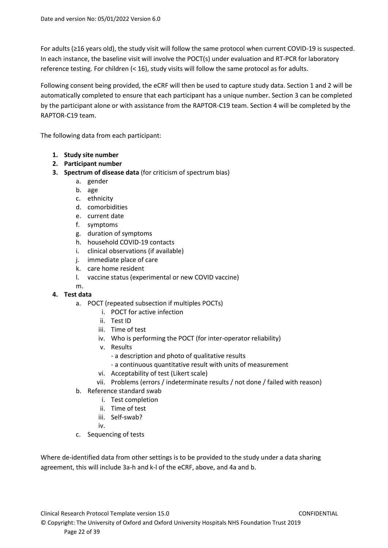For adults (≥16 years old), the study visit will follow the same protocol when current COVID-19 is suspected. In each instance, the baseline visit will involve the POCT(s) under evaluation and RT-PCR for laboratory reference testing. For children (< 16), study visits will follow the same protocol as for adults.

Following consent being provided, the eCRF will then be used to capture study data. Section 1 and 2 will be automatically completed to ensure that each participant has a unique number. Section 3 can be completed by the participant alone or with assistance from the RAPTOR-C19 team. Section 4 will be completed by the RAPTOR-C19 team.

The following data from each participant:

- **1. Study site number**
- **2. Participant number**
- **3. Spectrum of disease data** (for criticism of spectrum bias)
	- a. gender
	- b. age
	- c. ethnicity
	- d. comorbidities
	- e. current date
	- f. symptoms
	- g. duration of symptoms
	- h. household COVID-19 contacts
	- i. clinical observations (if available)
	- j. immediate place of care
	- k. care home resident
	- l. vaccine status (experimental or new COVID vaccine)

### m. **4. Test data**

- a. POCT (repeated subsection if multiples POCTs)
	- i. POCT for active infection
	- ii. Test ID
	- iii. Time of test
	- iv. Who is performing the POCT (for inter-operator reliability)
	- v. Results
		- a description and photo of qualitative results
		- a continuous quantitative result with units of measurement
	- vi. Acceptability of test (Likert scale)
	- vii. Problems (errors / indeterminate results / not done / failed with reason)
- b. Reference standard swab
	- i. Test completion
	- ii. Time of test
	- iii. Self-swab?
	- iv.
- c. Sequencing of tests

Where de-identified data from other settings is to be provided to the study under a data sharing agreement, this will include 3a-h and k-l of the eCRF, above, and 4a and b.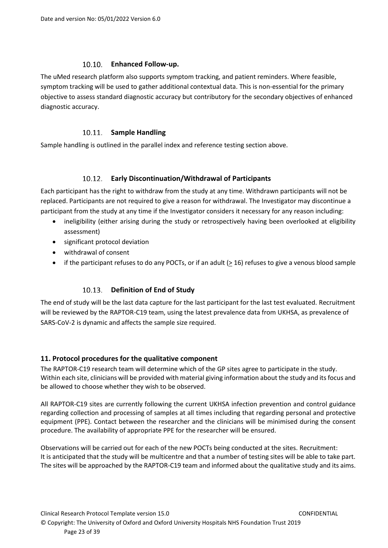# **Enhanced Follow-up.**

<span id="page-22-0"></span>The uMed research platform also supports symptom tracking, and patient reminders. Where feasible, symptom tracking will be used to gather additional contextual data. This is non-essential for the primary objective to assess standard diagnostic accuracy but contributory for the secondary objectives of enhanced diagnostic accuracy.

# 10.11. Sample Handling

<span id="page-22-1"></span>Sample handling is outlined in the parallel index and reference testing section above.

# **Early Discontinuation/Withdrawal of Participants**

<span id="page-22-2"></span>Each participant has the right to withdraw from the study at any time. Withdrawn participants will not be replaced. Participants are not required to give a reason for withdrawal. The Investigator may discontinue a participant from the study at any time if the Investigator considers it necessary for any reason including:

- ineligibility (either arising during the study or retrospectively having been overlooked at eligibility assessment)
- significant protocol deviation
- withdrawal of consent
- if the participant refuses to do any POCTs, or if an adult  $( \geq 16)$  refuses to give a venous blood sample

# **Definition of End of Study**

<span id="page-22-3"></span>The end of study will be the last data capture for the last participant for the last test evaluated. Recruitment will be reviewed by the RAPTOR-C19 team, using the latest prevalence data from UKHSA, as prevalence of SARS-CoV-2 is dynamic and affects the sample size required.

# <span id="page-22-4"></span>**11. Protocol procedures for the qualitative component**

The RAPTOR-C19 research team will determine which of the GP sites agree to participate in the study. Within each site, clinicians will be provided with material giving information about the study and its focus and be allowed to choose whether they wish to be observed.

All RAPTOR-C19 sites are currently following the current UKHSA infection prevention and control guidance regarding collection and processing of samples at all times including that regarding personal and protective equipment (PPE). Contact between the researcher and the clinicians will be minimised during the consent procedure. The availability of appropriate PPE for the researcher will be ensured.

Observations will be carried out for each of the new POCTs being conducted at the sites. Recruitment: It is anticipated that the study will be multicentre and that a number of testing sites will be able to take part. The sites will be approached by the RAPTOR-C19 team and informed about the qualitative study and its aims.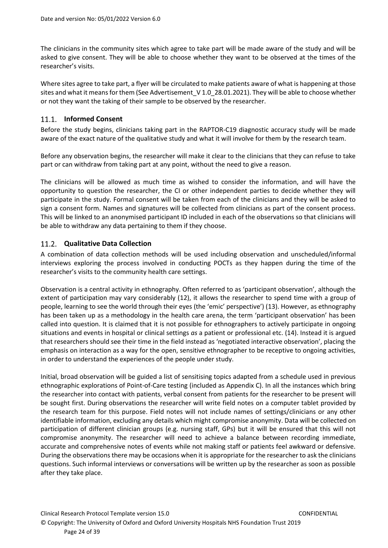The clinicians in the community sites which agree to take part will be made aware of the study and will be asked to give consent. They will be able to choose whether they want to be observed at the times of the researcher's visits.

Where sites agree to take part, a flyer will be circulated to make patients aware of what is happening at those sites and what it means for them (See Advertisement\_V 1.0\_28.01.2021). They will be able to choose whether or not they want the taking of their sample to be observed by the researcher.

# <span id="page-23-0"></span>**Informed Consent**

Before the study begins, clinicians taking part in the RAPTOR-C19 diagnostic accuracy study will be made aware of the exact nature of the qualitative study and what it will involve for them by the research team.

Before any observation begins, the researcher will make it clear to the clinicians that they can refuse to take part or can withdraw from taking part at any point, without the need to give a reason.

The clinicians will be allowed as much time as wished to consider the information, and will have the opportunity to question the researcher, the CI or other independent parties to decide whether they will participate in the study. Formal consent will be taken from each of the clinicians and they will be asked to sign a consent form. Names and signatures will be collected from clinicians as part of the consent process. This will be linked to an anonymised participant ID included in each of the observations so that clinicians will be able to withdraw any data pertaining to them if they choose.

# <span id="page-23-1"></span>**Qualitative Data Collection**

A combination of data collection methods will be used including observation and unscheduled/informal interviews exploring the process involved in conducting POCTs as they happen during the time of the researcher's visits to the community health care settings.

Observation is a central activity in ethnography. Often referred to as 'participant observation', although the extent of participation may vary considerably (12), it allows the researcher to spend time with a group of people, learning to see the world through their eyes (the 'emic' perspective') (13). However, as ethnography has been taken up as a methodology in the health care arena, the term 'participant observation' has been called into question. It is claimed that it is not possible for ethnographers to actively participate in ongoing situations and events in hospital or clinical settings *as* a patient or professional etc. (14). Instead it is argued that researchers should see their time in the field instead as 'negotiated interactive observation', placing the emphasis on interaction as a way for the open, sensitive ethnographer to be receptive to ongoing activities, in order to understand the experiences of the people under study.

Initial, broad observation will be guided a list of sensitising topics adapted from a schedule used in previous ethnographic explorations of Point-of-Care testing (included as Appendix C). In all the instances which bring the researcher into contact with patients, verbal consent from patients for the researcher to be present will be sought first. During observations the researcher will write field notes on a computer tablet provided by the research team for this purpose. Field notes will not include names of settings/clinicians or any other identifiable information, excluding any details which might compromise anonymity. Data will be collected on participation of different clinician groups (e.g. nursing staff, GPs) but it will be ensured that this will not compromise anonymity. The researcher will need to achieve a balance between recording immediate, accurate and comprehensive notes of events while not making staff or patients feel awkward or defensive. During the observations there may be occasions when it is appropriate for the researcher to ask the clinicians questions. Such informal interviews or conversations will be written up by the researcher as soon as possible after they take place.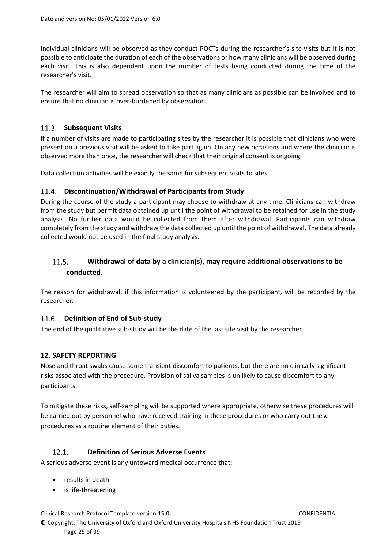Individual clinicians will be observed as they conduct POCTs during the researcher's site visits but it is not possible to anticipate the duration of each of the observations or how many clinicians will be observed during each visit. This is also dependent upon the number of tests being conducted during the time of the researcher's visit.

The researcher will aim to spread observation so that as many clinicians as possible can be involved and to ensure that no clinician is over-burdened by observation.

## <span id="page-24-0"></span>11.3. Subsequent Visits

If a number of visits are made to participating sites by the researcher it is possible that clinicians who were present on a previous visit will be asked to take part again. On any new occasions and where the clinician is observed more than once, the researcher will check that their original consent is ongoing.

Data collection activities will be exactly the same for subsequent visits to sites.

## <span id="page-24-1"></span>**Discontinuation/Withdrawal of Participants from Study**

During the course of the study a participant may choose to withdraw at any time. Clinicians can withdraw from the study but permit data obtained up until the point of withdrawal to be retained for use in the study analysis. No further data would be collected from them after withdrawal. Participants can withdraw completely from the study and withdraw the data collected up until the point of withdrawal. The data already collected would not be used in the final study analysis.

### <span id="page-24-2"></span>**Withdrawal of data by a clinician(s), may require additional observations to be**   $11.5.$ **conducted.**

The reason for withdrawal, if this information is volunteered by the participant, will be recorded by the researcher.

## <span id="page-24-3"></span>11.6. Definition of End of Sub-study

The end of the qualitative sub-study will be the date of the last site visit by the researcher.

## <span id="page-24-4"></span>**12. SAFETY REPORTING**

Nose and throat swabs cause some transient discomfort to patients, but there are no clinically significant risks associated with the procedure. Provision of saliva samples is unlikely to cause discomfort to any participants.

To mitigate these risks, self-sampling will be supported where appropriate, otherwise these procedures will be carried out by personnel who have received training in these procedures or who carry out these procedures as a routine element of their duties.

#### <span id="page-24-5"></span> $12.1.$ **Definition of Serious Adverse Events**

A serious adverse event is any untoward medical occurrence that:

- results in death
- is life-threatening

Clinical Research Protocol Template version 15.0 CONFIDENTIAL

© Copyright: The University of Oxford and Oxford University Hospitals NHS Foundation Trust 2019 Page 25 of 39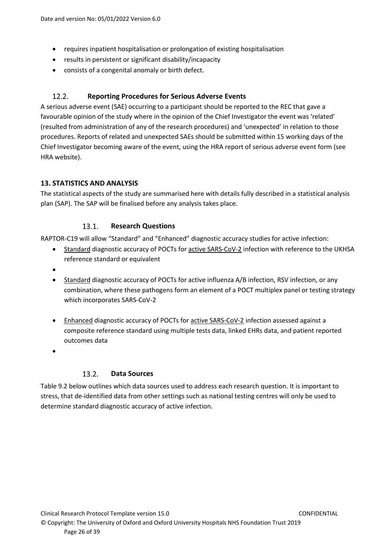- requires inpatient hospitalisation or prolongation of existing hospitalisation
- results in persistent or significant disability/incapacity
- consists of a congenital anomaly or birth defect.

#### <span id="page-25-0"></span> $12.2.$ **Reporting Procedures for Serious Adverse Events**

A serious adverse event (SAE) occurring to a participant should be reported to the REC that gave a favourable opinion of the study where in the opinion of the Chief Investigator the event was 'related' (resulted from administration of any of the research procedures) and 'unexpected' in relation to those procedures. Reports of related and unexpected SAEs should be submitted within 15 working days of the Chief Investigator becoming aware of the event, using the HRA [report of serious adverse event](http://www.nres.npsa.nhs.uk/docs/forms/Safety_Report_Form_(non-CTIMPs).doc) form (see HRA website).

# <span id="page-25-1"></span>**13. STATISTICS AND ANALYSIS**

The statistical aspects of the study are summarised here with details fully described in a statistical analysis plan (SAP). The SAP will be finalised before any analysis takes place.

#### $13.1.$ **Research Questions**

<span id="page-25-2"></span>RAPTOR-C19 will allow "Standard" and "Enhanced" diagnostic accuracy studies for active infection:

- Standard diagnostic accuracy of POCTs for active SARS-CoV-2 infection with reference to the UKHSA reference standard or equivalent
- •
- Standard diagnostic accuracy of POCTs for active influenza A/B infection, RSV infection, or any combination, where these pathogens form an element of a POCT multiplex panel or testing strategy which incorporates SARS-CoV-2
- Enhanced diagnostic accuracy of POCTs for active SARS-CoV-2 infection assessed against a composite reference standard using multiple tests data, linked EHRs data, and patient reported outcomes data
- •

#### $13.2.$ **Data Sources**

<span id="page-25-3"></span>Table 9.2 below outlines which data sources used to address each research question. It is important to stress, that de-identified data from other settings such as national testing centres will only be used to determine standard diagnostic accuracy of active infection.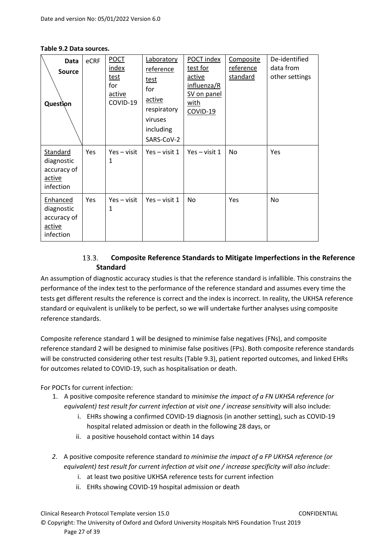**Table 9.2 Data sources.**

| Data<br>Source<br>Question                                          | eCRF | <b>POCT</b><br>index<br><u>test</u><br>for<br>active<br>COVID-19 | Laboratory<br>reference<br>test<br>for<br>active<br>respiratory<br>viruses<br>including<br>SARS-CoV-2 | POCT index<br>test for<br>active<br>influenza/R<br><b>SV</b> on panel<br><u>with</u><br>COVID-19 | Composite<br><u>reference</u><br>standard | De-identified<br>data from<br>other settings |
|---------------------------------------------------------------------|------|------------------------------------------------------------------|-------------------------------------------------------------------------------------------------------|--------------------------------------------------------------------------------------------------|-------------------------------------------|----------------------------------------------|
| Standard<br>diagnostic<br>accuracy of<br>active<br>infection        | Yes  | Yes – visit<br>$\mathbf{1}$                                      | $Yes - visit 1$                                                                                       | $Yes - visit 1$                                                                                  | No                                        | Yes                                          |
| <b>Enhanced</b><br>diagnostic<br>accuracy of<br>active<br>infection | Yes  | Yes – visit<br>1                                                 | $Yes - visit 1$                                                                                       | No                                                                                               | Yes                                       | No                                           |

### $13.3.$ **Composite Reference Standards to Mitigate Imperfections in the Reference Standard**

<span id="page-26-0"></span>An assumption of diagnostic accuracy studies is that the reference standard is infallible. This constrains the performance of the index test to the performance of the reference standard and assumes every time the tests get different results the reference is correct and the index is incorrect. In reality, the UKHSA reference standard or equivalent is unlikely to be perfect, so we will undertake further analyses using composite reference standards.

Composite reference standard 1 will be designed to minimise false negatives (FNs), and composite reference standard 2 will be designed to minimise false positives (FPs). Both composite reference standards will be constructed considering other test results (Table 9.3), patient reported outcomes, and linked EHRs for outcomes related to COVID-19, such as hospitalisation or death.

For POCTs for current infection:

- 1. A positive composite reference standard to *minimise the impact of a FN UKHSA reference (or equivalent) test result for current infection at visit one / increase sensitivity* will also include:
	- i. EHRs showing a confirmed COVID-19 diagnosis (in another setting), such as COVID-19 hospital related admission or death in the following 28 days, or
	- ii. a positive household contact within 14 days
- *2.* A positive composite reference standard *to minimise the impact of a FP UKHSA reference (or equivalent) test result for current infection at visit one / increase specificity will also include*:
	- i. at least two positive UKHSA reference tests for current infection
	- ii. EHRs showing COVID-19 hospital admission or death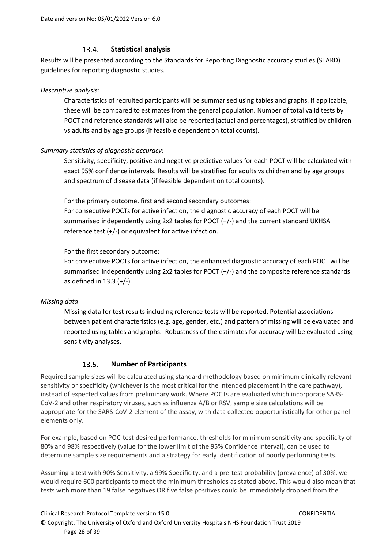#### $13.4.$ **Statistical analysis**

<span id="page-27-0"></span>Results will be presented according to the Standards for Reporting Diagnostic accuracy studies (STARD) guidelines for reporting diagnostic studies.

## *Descriptive analysis:*

Characteristics of recruited participants will be summarised using tables and graphs. If applicable, these will be compared to estimates from the general population. Number of total valid tests by POCT and reference standards will also be reported (actual and percentages), stratified by children vs adults and by age groups (if feasible dependent on total counts).

# *Summary statistics of diagnostic accuracy:*

Sensitivity, specificity, positive and negative predictive values for each POCT will be calculated with exact 95% confidence intervals. Results will be stratified for adults vs children and by age groups and spectrum of disease data (if feasible dependent on total counts).

For the primary outcome, first and second secondary outcomes: For consecutive POCTs for active infection, the diagnostic accuracy of each POCT will be summarised independently using 2x2 tables for POCT (+/-) and the current standard UKHSA reference test (+/-) or equivalent for active infection.

For the first secondary outcome:

For consecutive POCTs for active infection, the enhanced diagnostic accuracy of each POCT will be summarised independently using 2x2 tables for POCT (+/-) and the composite reference standards as defined in 13.3 (+/-).

# *Missing data*

Missing data for test results including reference tests will be reported. Potential associations between patient characteristics (e.g. age, gender, etc.) and pattern of missing will be evaluated and reported using tables and graphs. Robustness of the estimates for accuracy will be evaluated using sensitivity analyses.

#### $13.5.$ **Number of Participants**

<span id="page-27-1"></span>Required sample sizes will be calculated using standard methodology based on minimum clinically relevant sensitivity or specificity (whichever is the most critical for the intended placement in the care pathway), instead of expected values from preliminary work. Where POCTs are evaluated which incorporate SARS-CoV-2 and other respiratory viruses, such as influenza A/B or RSV, sample size calculations will be appropriate for the SARS-CoV-2 element of the assay, with data collected opportunistically for other panel elements only.

For example, based on POC-test desired performance, thresholds for minimum sensitivity and specificity of 80% and 98% respectively (value for the lower limit of the 95% Confidence Interval), can be used to determine sample size requirements and a strategy for early identification of poorly performing tests.

Assuming a test with 90% Sensitivity, a 99% Specificity, and a pre-test probability (prevalence) of 30%, we would require 600 participants to meet the minimum thresholds as stated above. This would also mean that tests with more than 19 false negatives OR five false positives could be immediately dropped from the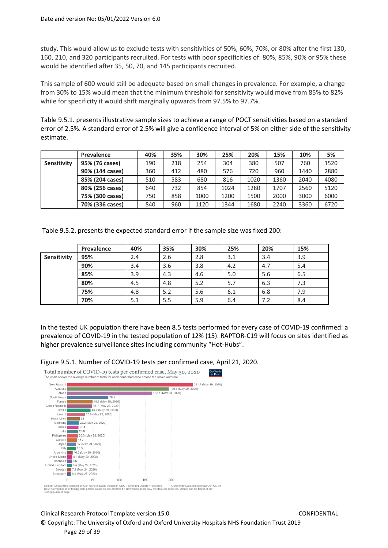study. This would allow us to exclude tests with sensitivities of 50%, 60%, 70%, or 80% after the first 130, 160, 210, and 320 participants recruited. For tests with poor specificities of: 80%, 85%, 90% or 95% these would be identified after 35, 50, 70, and 145 participants recruited.

This sample of 600 would still be adequate based on small changes in prevalence. For example, a change from 30% to 15% would mean that the minimum threshold for sensitivity would move from 85% to 82% while for specificity it would shift marginally upwards from 97.5% to 97.7%.

Table 9.5.1. presents illustrative sample sizes to achieve a range of POCT sensitivities based on a standard error of 2.5%. A standard error of 2.5% will give a confidence interval of 5% on either side of the sensitivity estimate.

|             | Prevalence      | 40% | 35% | 30%  | 25%  | 20%  | 15%  | 10%  | 5%   |
|-------------|-----------------|-----|-----|------|------|------|------|------|------|
| Sensitivity | 95% (76 cases)  | 190 | 218 | 254  | 304  | 380  | 507  | 760  | 1520 |
|             | 90% (144 cases) | 360 | 412 | 480  | 576  | 720  | 960  | 1440 | 2880 |
|             | 85% (204 cases) | 510 | 583 | 680  | 816  | 1020 | 1360 | 2040 | 4080 |
|             | 80% (256 cases) | 640 | 732 | 854  | 1024 | 1280 | 1707 | 2560 | 5120 |
|             | 75% (300 cases) | 750 | 858 | 1000 | 1200 | 1500 | 2000 | 3000 | 6000 |
|             | 70% (336 cases) | 840 | 960 | 1120 | 1344 | 1680 | 2240 | 3360 | 6720 |

Table 9.5.2. presents the expected standard error if the sample size was fixed 200:

|             | Prevalence | 40% | 35% | 30% | 25% | 20% | 15% |
|-------------|------------|-----|-----|-----|-----|-----|-----|
| Sensitivity | 95%        | 2.4 | 2.6 | 2.8 | 3.1 | 3.4 | 3.9 |
|             | 90%        | 3.4 | 3.6 | 3.8 | 4.2 | 4.7 | 5.4 |
|             | 85%        | 3.9 | 4.3 | 4.6 | 5.0 | 5.6 | 6.5 |
|             | 80%        | 4.5 | 4.8 | 5.2 | 5.7 | 6.3 | 7.3 |
|             | 75%        | 4.8 | 5.2 | 5.6 | 6.1 | 6.8 | 7.9 |
|             | 70%        | 5.1 | 5.5 | 5.9 | 6.4 | 7.2 | 8.4 |

In the tested UK population there have been 8.5 tests performed for every case of COVID-19 confirmed: a prevalence of COVID-19 in the tested population of 12% (15). RAPTOR-C19 will focus on sites identified as higher prevalence surveillance sites including community "Hot-Hubs".

Our World

Figure 9.5.1. Number of COVID-19 tests per confirmed case, April 21, 2020.

Total number of COVID-19 tests per confirmed case, May 30, 2020 The chart shows the average number of tests for each confirmed case across the whole outbreat



Clinical Research Protocol Template version 15.0 CONFIDENTIAL © Copyright: The University of Oxford and Oxford University Hospitals NHS Foundation Trust 2019 Page 29 of 39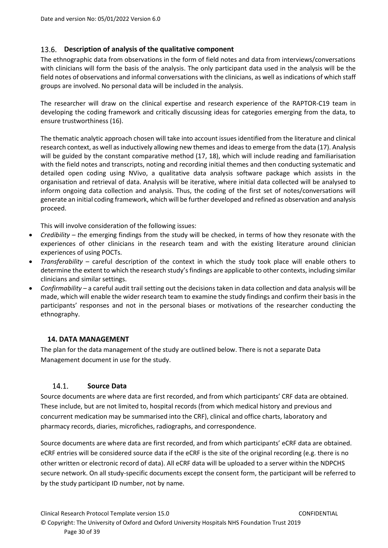#### <span id="page-29-0"></span>**Description of analysis of the qualitative component** 13.6.

The ethnographic data from observations in the form of field notes and data from interviews/conversations with clinicians will form the basis of the analysis. The only participant data used in the analysis will be the field notes of observations and informal conversations with the clinicians, as well as indications of which staff groups are involved. No personal data will be included in the analysis.

The researcher will draw on the clinical expertise and research experience of the RAPTOR-C19 team in developing the coding framework and critically discussing ideas for categories emerging from the data, to ensure trustworthiness (16).

The thematic analytic approach chosen will take into account issues identified from the literature and clinical research context, as well as inductively allowing new themes and ideas to emerge from the data (17). Analysis will be guided by the constant comparative method (17, 18), which will include reading and familiarisation with the field notes and transcripts, noting and recording initial themes and then conducting systematic and detailed open coding using NVivo, a qualitative data analysis software package which assists in the organisation and retrieval of data. Analysis will be iterative, where initial data collected will be analysed to inform ongoing data collection and analysis. Thus, the coding of the first set of notes/conversations will generate an initial coding framework, which will be further developed and refined as observation and analysis proceed.

This will involve consideration of the following issues:

- *Credibility – t*he emerging findings from the study will be checked, in terms of how they resonate with the experiences of other clinicians in the research team and with the existing literature around clinician experiences of using POCTs.
- *Transferability* careful description of the context in which the study took place will enable others to determine the extent to which the research study's findings are applicable to other contexts, including similar clinicians and similar settings.
- *Confirmability* a careful audit trail setting out the decisions taken in data collection and data analysis will be made, which will enable the wider research team to examine the study findings and confirm their basis in the participants' responses and not in the personal biases or motivations of the researcher conducting the ethnography.

## <span id="page-29-1"></span>**14. DATA MANAGEMENT**

The plan for the data management of the study are outlined below. There is not a separate Data Management document in use for the study.

#### <span id="page-29-2"></span> $14.1.$ **Source Data**

Source documents are where data are first recorded, and from which participants' CRF data are obtained. These include, but are not limited to, hospital records (from which medical history and previous and concurrent medication may be summarised into the CRF), clinical and office charts, laboratory and pharmacy records, diaries, microfiches, radiographs, and correspondence.

Source documents are where data are first recorded, and from which participants' eCRF data are obtained. eCRF entries will be considered source data if the eCRF is the site of the original recording (e.g. there is no other written or electronic record of data). All eCRF data will be uploaded to a server within the NDPCHS secure network. On all study-specific documents except the consent form, the participant will be referred to by the study participant ID number, not by name.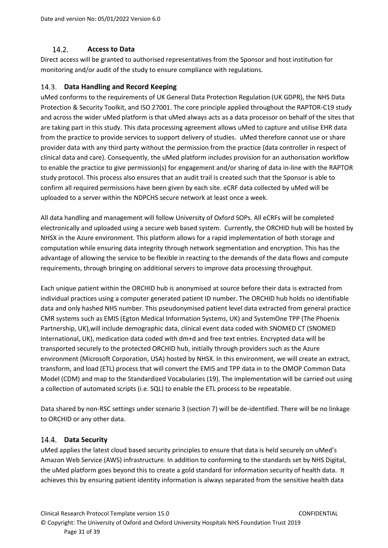#### $14.2.$ **Access to Data**

<span id="page-30-0"></span>Direct access will be granted to authorised representatives from the Sponsor and host institution for monitoring and/or audit of the study to ensure compliance with regulations.

#### <span id="page-30-1"></span>**Data Handling and Record Keeping** 14.3.

uMed conforms to the requirements of UK General Data Protection Regulation (UK GDPR), the NHS Data Protection & Security Toolkit, and ISO 27001. The core principle applied throughout the RAPTOR-C19 study and across the wider uMed platform is that uMed always acts as a data processor on behalf of the sites that are taking part in this study. This data processing agreement allows uMed to capture and utilise EHR data from the practice to provide services to support delivery of studies. uMed therefore cannot use or share provider data with any third party without the permission from the practice (data controller in respect of clinical data and care). Consequently, the uMed platform includes provision for an authorisation workflow to enable the practice to give permission(s) for engagement and/or sharing of data in-line with the RAPTOR study protocol. This process also ensures that an audit trail is created such that the Sponsor is able to confirm all required permissions have been given by each site. eCRF data collected by uMed will be uploaded to a server within the NDPCHS secure network at least once a week.

All data handling and management will follow University of Oxford SOPs. All eCRFs will be completed electronically and uploaded using a secure web based system. Currently, the ORCHID hub will be hosted by NHSX in the Azure environment. This platform allows for a rapid implementation of both storage and computation while ensuring data integrity through network segmentation and encryption. This has the advantage of allowing the service to be flexible in reacting to the demands of the data flows and compute requirements, through bringing on additional servers to improve data processing throughput.

Each unique patient within the ORCHID hub is anonymised at source before their data is extracted from individual practices using a computer generated patient ID number. The ORCHID hub holds no identifiable data and only hashed NHS number. This pseudonymised patient level data extracted from general practice CMR systems such as EMIS (Egton Medical Information Systems, UK) and SystemOne TPP (The Phoenix Partnership, UK),will include demographic data, clinical event data coded with SNOMED CT (SNOMED International, UK), medication data coded with dm+d and free text entries. Encrypted data will be transported securely to the protected ORCHID hub, initially through providers such as the Azure environment (Microsoft Corporation, USA) hosted by NHSX. In this environment, we will create an extract, transform, and load (ETL) process that will convert the EMIS and TPP data in to the OMOP Common Data Model (CDM) and map to the Standardized Vocabularies (19). The implementation will be carried out using a collection of automated scripts (i.e. SQL) to enable the ETL process to be repeatable.

Data shared by non-RSC settings under scenario 3 (section 7) will be de-identified. There will be no linkage to ORCHID or any other data.

# <span id="page-30-2"></span>**Data Security**

uMed applies the latest cloud based security principles to ensure that data is held securely on uMed's Amazon Web Service (AWS) infrastructure. In addition to conforming to the standards set by NHS Digital, the uMed platform goes beyond this to create a gold standard for information security of health data. It achieves this by ensuring patient identity information is always separated from the sensitive health data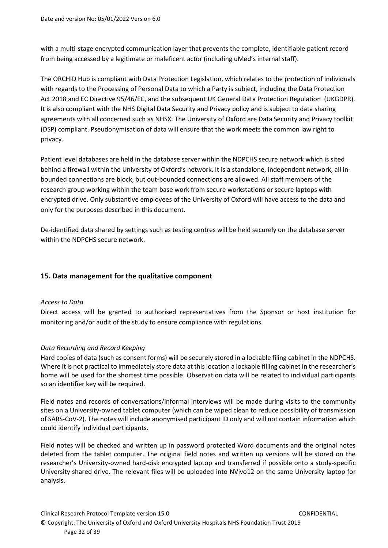with a multi-stage encrypted communication layer that prevents the complete, identifiable patient record from being accessed by a legitimate or maleficent actor (including uMed's internal staff).

The ORCHID Hub is compliant with Data Protection Legislation, which relates to the protection of individuals with regards to the Processing of Personal Data to which a Party is subject, including the Data Protection Act 2018 and EC Directive 95/46/EC, and the subsequent UK General Data Protection Regulation (UKGDPR). It is also compliant with the NHS Digital Data Security and Privacy policy and is subject to data sharing agreements with all concerned such as NHSX. The University of Oxford are Data Security and Privacy toolkit (DSP) compliant. Pseudonymisation of data will ensure that the work meets the common law right to privacy.

Patient level databases are held in the database server within the NDPCHS secure network which is sited behind a firewall within the University of Oxford's network. It is a standalone, independent network, all inbounded connections are block, but out-bounded connections are allowed. All staff members of the research group working within the team base work from secure workstations or secure laptops with encrypted drive. Only substantive employees of the University of Oxford will have access to the data and only for the purposes described in this document.

De-identified data shared by settings such as testing centres will be held securely on the database server within the NDPCHS secure network.

# <span id="page-31-1"></span><span id="page-31-0"></span>**15. Data management for the qualitative component**

## *Access to Data*

Direct access will be granted to authorised representatives from the Sponsor or host institution for monitoring and/or audit of the study to ensure compliance with regulations.

## <span id="page-31-2"></span>*Data Recording and Record Keeping*

Hard copies of data (such as consent forms) will be securely stored in a lockable filing cabinet in the NDPCHS. Where it is not practical to immediately store data at this location a lockable filling cabinet in the researcher's home will be used for the shortest time possible. Observation data will be related to individual participants so an identifier key will be required.

Field notes and records of conversations/informal interviews will be made during visits to the community sites on a University-owned tablet computer (which can be wiped clean to reduce possibility of transmission of SARS-CoV-2). The notes will include anonymised participant ID only and will not contain information which could identify individual participants.

Field notes will be checked and written up in password protected Word documents and the original notes deleted from the tablet computer. The original field notes and written up versions will be stored on the researcher's University-owned hard-disk encrypted laptop and transferred if possible onto a study-specific University shared drive. The relevant files will be uploaded into NVivo12 on the same University laptop for analysis.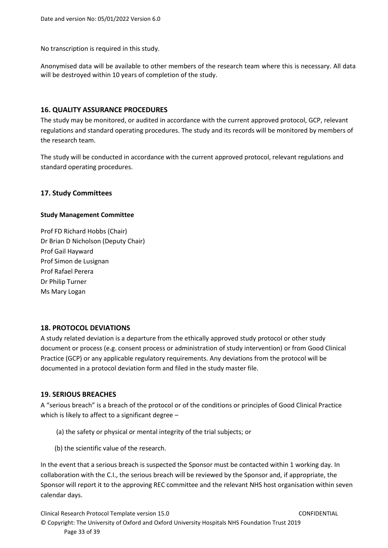No transcription is required in this study.

Anonymised data will be available to other members of the research team where this is necessary. All data will be destroyed within 10 years of completion of the study.

### <span id="page-32-0"></span>**16. QUALITY ASSURANCE PROCEDURES**

The study may be monitored, or audited in accordance with the current approved protocol, GCP, relevant regulations and standard operating procedures. The study and its records will be monitored by members of the research team.

The study will be conducted in accordance with the current approved protocol, relevant regulations and standard operating procedures.

### <span id="page-32-1"></span>**17. Study Committees**

### **Study Management Committee**

Prof FD Richard Hobbs (Chair) Dr Brian D Nicholson (Deputy Chair) Prof Gail Hayward Prof Simon de Lusignan Prof Rafael Perera Dr Philip Turner Ms Mary Logan

### <span id="page-32-2"></span>**18. PROTOCOL DEVIATIONS**

A study related deviation is a departure from the ethically approved study protocol or other study document or process (e.g. consent process or administration of study intervention) or from Good Clinical Practice (GCP) or any applicable regulatory requirements. Any deviations from the protocol will be documented in a protocol deviation form and filed in the study master file.

### <span id="page-32-3"></span>**19. SERIOUS BREACHES**

A "serious breach" is a breach of the protocol or of the conditions or principles of Good Clinical Practice which is likely to affect to a significant degree –

- (a) the safety or physical or mental integrity of the trial subjects; or
- (b) the scientific value of the research.

In the event that a serious breach is suspected the Sponsor must be contacted within 1 working day. In collaboration with the C.I., the serious breach will be reviewed by the Sponsor and, if appropriate, the Sponsor will report it to the approving REC committee and the relevant NHS host organisation within seven calendar days.

Clinical Research Protocol Template version 15.0 CONFIDENTIAL © Copyright: The University of Oxford and Oxford University Hospitals NHS Foundation Trust 2019 Page 33 of 39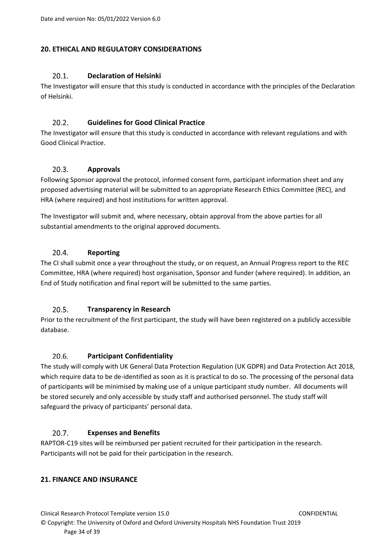# <span id="page-33-1"></span><span id="page-33-0"></span>**20. ETHICAL AND REGULATORY CONSIDERATIONS**

#### $20.1.$ **Declaration of Helsinki**

The Investigator will ensure that this study is conducted in accordance with the principles of the Declaration of Helsinki.

#### <span id="page-33-2"></span> $20.2.$ **Guidelines for Good Clinical Practice**

The Investigator will ensure that this study is conducted in accordance with relevant regulations and with Good Clinical Practice.

#### <span id="page-33-3"></span> $20.3.$ **Approvals**

Following Sponsor approval the protocol, informed consent form, participant information sheet and any proposed advertising material will be submitted to an appropriate Research Ethics Committee (REC), and HRA (where required) and host institutions for written approval.

The Investigator will submit and, where necessary, obtain approval from the above parties for all substantial amendments to the original approved documents.

#### <span id="page-33-4"></span> $20.4.$ **Reporting**

The CI shall submit once a year throughout the study, or on request, an Annual Progress report to the REC Committee, HRA (where required) host organisation, Sponsor and funder (where required). In addition, an End of Study notification and final report will be submitted to the same parties.

#### <span id="page-33-5"></span> $20.5.$ **Transparency in Research**

Prior to the recruitment of the first participant, the study will have been registered on a publicly accessible database.

#### <span id="page-33-6"></span> $20.6.$ **Participant Confidentiality**

The study will comply with UK General Data Protection Regulation (UK GDPR) and Data Protection Act 2018, which require data to be de-identified as soon as it is practical to do so. The processing of the personal data of participants will be minimised by making use of a unique participant study number. All documents will be stored securely and only accessible by study staff and authorised personnel. The study staff will safeguard the privacy of participants' personal data.

#### <span id="page-33-7"></span> $20.7.$ **Expenses and Benefits**

RAPTOR-C19 sites will be reimbursed per patient recruited for their participation in the research. Participants will not be paid for their participation in the research.

## <span id="page-33-8"></span>**21. FINANCE AND INSURANCE**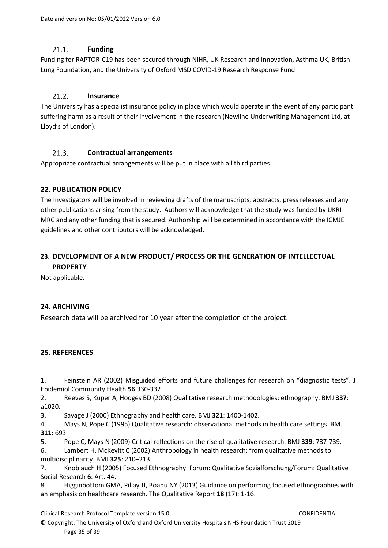#### $21.1.$ **Funding**

<span id="page-34-0"></span>Funding for RAPTOR-C19 has been secured through NIHR, UK Research and Innovation, Asthma UK, British Lung Foundation, and the University of Oxford MSD COVID-19 Research Response Fund

#### <span id="page-34-1"></span> $21.2.$ **Insurance**

The University has a specialist insurance policy in place which would operate in the event of any participant suffering harm as a result of their involvement in the research (Newline Underwriting Management Ltd, at Lloyd's of London).

#### <span id="page-34-2"></span> $21.3.$ **Contractual arrangements**

Appropriate contractual arrangements will be put in place with all third parties.

# <span id="page-34-3"></span>**22. PUBLICATION POLICY**

The Investigators will be involved in reviewing drafts of the manuscripts, abstracts, press releases and any other publications arising from the study. Authors will acknowledge that the study was funded by UKRI-MRC and any other funding that is secured. Authorship will be determined in accordance with the ICMJE guidelines and other contributors will be acknowledged.

# <span id="page-34-4"></span>**23. DEVELOPMENT OF A NEW PRODUCT/ PROCESS OR THE GENERATION OF INTELLECTUAL PROPERTY**

Not applicable.

# <span id="page-34-5"></span>**24. ARCHIVING**

Research data will be archived for 10 year after the completion of the project.

# <span id="page-34-6"></span>**25. REFERENCES**

1. Feinstein AR (2002) Misguided efforts and future challenges for research on "diagnostic tests". J Epidemiol Community Health **56**:330-332.

2. Reeves S, Kuper A, Hodges BD (2008) Qualitative research methodologies: ethnography. BMJ **337**: a1020.

3. Savage J (2000) Ethnography and health care. BMJ **321**: 1400-1402.

4. Mays N, Pope C (1995) Qualitative research: observational methods in health care settings. BMJ **311**: 693.

5. Pope C, Mays N (2009) Critical reflections on the rise of qualitative research. BMJ **339**: 737-739.

6. Lambert H, McKevitt C (2002) Anthropology in health research: from qualitative methods to multidisciplinarity. BMJ **325**: 210–213.

7. Knoblauch H (2005) Focused Ethnography. Forum: Qualitative Sozialforschung/Forum: Qualitative Social Research **6**: Art. 44.

8. Higginbottom GMA, Pillay JJ, Boadu NY (2013) Guidance on performing focused ethnographies with an emphasis on healthcare research. The Qualitative Report **18** (17): 1-16.

Clinical Research Protocol Template version 15.0 CONFIDENTIAL

© Copyright: The University of Oxford and Oxford University Hospitals NHS Foundation Trust 2019 Page 35 of 39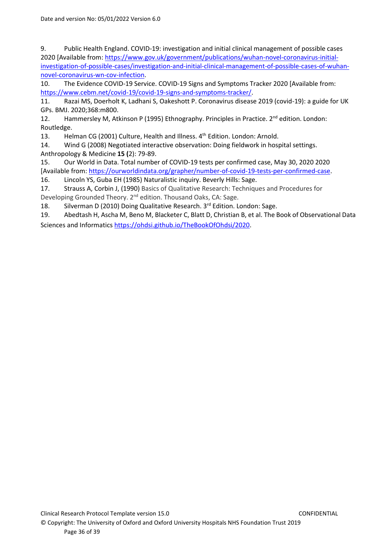9. Public Health England. COVID-19: investigation and initial clinical management of possible cases 2020 [Available from: [https://www.gov.uk/government/publications/wuhan-novel-coronavirus-initial](https://www.gov.uk/government/publications/wuhan-novel-coronavirus-initial-investigation-of-possible-cases/investigation-and-initial-clinical-management-of-possible-cases-of-wuhan-novel-coronavirus-wn-cov-infection)[investigation-of-possible-cases/investigation-and-initial-clinical-management-of-possible-cases-of-wuhan](https://www.gov.uk/government/publications/wuhan-novel-coronavirus-initial-investigation-of-possible-cases/investigation-and-initial-clinical-management-of-possible-cases-of-wuhan-novel-coronavirus-wn-cov-infection)[novel-coronavirus-wn-cov-infection.](https://www.gov.uk/government/publications/wuhan-novel-coronavirus-initial-investigation-of-possible-cases/investigation-and-initial-clinical-management-of-possible-cases-of-wuhan-novel-coronavirus-wn-cov-infection)

10. The Evidence COVID-19 Service. COVID-19 Signs and Symptoms Tracker 2020 [Available from: [https://www.cebm.net/covid-19/covid-19-signs-and-symptoms-tracker/.](https://www.cebm.net/covid-19/covid-19-signs-and-symptoms-tracker/)

11. Razai MS, Doerholt K, Ladhani S, Oakeshott P. Coronavirus disease 2019 (covid-19): a guide for UK GPs. BMJ. 2020;368:m800.

12. Hammersley M, Atkinson P (1995) Ethnography. Principles in Practice.  $2^{nd}$  edition. London: Routledge.

13. Helman CG (2001) Culture, Health and Illness. 4<sup>th</sup> Edition. London: Arnold.

14. Wind G (2008) Negotiated interactive observation: Doing fieldwork in hospital settings. Anthropology & Medicine **15 (**2): 79-89.

15. Our World in Data. Total number of COVID-19 tests per confirmed case, May 30, 2020 2020 [Available from: [https://ourworldindata.org/grapher/number-of-covid-19-tests-per-confirmed-case.](https://ourworldindata.org/grapher/number-of-covid-19-tests-per-confirmed-case) 16. Lincoln YS, Guba EH (1985) Naturalistic inquiry. Beverly Hills: Sage.

17. Strauss A, Corbin J, (1990) Basics of Qualitative Research: Techniques and Procedures for Developing Grounded Theory. 2nd edition. Thousand Oaks, CA: Sage.

18. Silverman D (2010) Doing Qualitative Research. 3<sup>rd</sup> Edition. London: Sage.

19. Abedtash H, Ascha M, Beno M, Blacketer C, Blatt D, Christian B, et al. The Book of Observational Data Sciences and Informatic[s https://ohdsi.github.io/TheBookOfOhdsi/2020.](https://ohdsi.github.io/TheBookOfOhdsi/2020)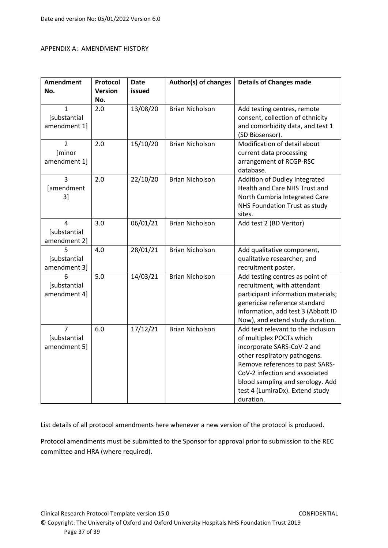## APPENDIX A: AMENDMENT HISTORY

| <b>Amendment</b> | Protocol       | <b>Date</b> | Author(s) of changes   | <b>Details of Changes made</b>                                      |
|------------------|----------------|-------------|------------------------|---------------------------------------------------------------------|
| No.              | <b>Version</b> | issued      |                        |                                                                     |
|                  | No.            |             |                        |                                                                     |
| 1                | 2.0            | 13/08/20    | <b>Brian Nicholson</b> | Add testing centres, remote                                         |
| [substantial     |                |             |                        | consent, collection of ethnicity                                    |
| amendment 1]     |                |             |                        | and comorbidity data, and test 1                                    |
|                  |                |             |                        | (SD Biosensor).                                                     |
| $\overline{2}$   | 2.0            | 15/10/20    | <b>Brian Nicholson</b> | Modification of detail about                                        |
| [minor           |                |             |                        | current data processing                                             |
| amendment 1]     |                |             |                        | arrangement of RCGP-RSC                                             |
|                  |                |             |                        | database.                                                           |
| $\overline{3}$   | 2.0            | 22/10/20    | <b>Brian Nicholson</b> | Addition of Dudley Integrated                                       |
| [amendment       |                |             |                        | Health and Care NHS Trust and                                       |
| 3]               |                |             |                        | North Cumbria Integrated Care                                       |
|                  |                |             |                        | NHS Foundation Trust as study                                       |
|                  |                |             |                        | sites.                                                              |
| 4                | 3.0            | 06/01/21    | <b>Brian Nicholson</b> | Add test 2 (BD Veritor)                                             |
| [substantial     |                |             |                        |                                                                     |
| amendment 2]     |                |             |                        |                                                                     |
| 5                | 4.0            | 28/01/21    | <b>Brian Nicholson</b> | Add qualitative component,                                          |
| [substantial     |                |             |                        | qualitative researcher, and                                         |
| amendment 3]     |                |             |                        | recruitment poster.                                                 |
| 6                | 5.0            | 14/03/21    | <b>Brian Nicholson</b> | Add testing centres as point of                                     |
| [substantial     |                |             |                        | recruitment, with attendant                                         |
| amendment 4]     |                |             |                        | participant information materials;                                  |
|                  |                |             |                        | genericise reference standard<br>information, add test 3 (Abbott ID |
|                  |                |             |                        | Now), and extend study duration.                                    |
| $\overline{7}$   | 6.0            | 17/12/21    | <b>Brian Nicholson</b> | Add text relevant to the inclusion                                  |
| [substantial     |                |             |                        | of multiplex POCTs which                                            |
| amendment 5]     |                |             |                        | incorporate SARS-CoV-2 and                                          |
|                  |                |             |                        | other respiratory pathogens.                                        |
|                  |                |             |                        | Remove references to past SARS-                                     |
|                  |                |             |                        | CoV-2 infection and associated                                      |
|                  |                |             |                        | blood sampling and serology. Add                                    |
|                  |                |             |                        | test 4 (LumiraDx). Extend study                                     |
|                  |                |             |                        | duration.                                                           |

List details of all protocol amendments here whenever a new version of the protocol is produced.

Protocol amendments must be submitted to the Sponsor for approval prior to submission to the REC committee and HRA (where required).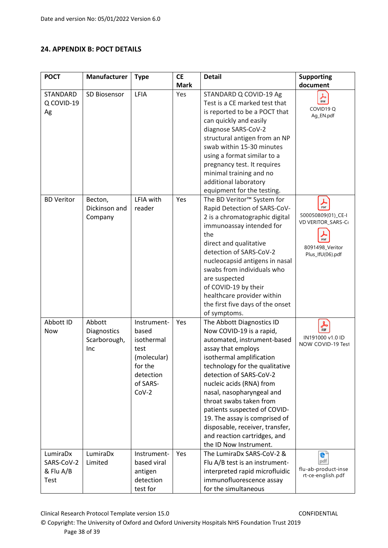# <span id="page-37-0"></span>**24. APPENDIX B: POCT DETAILS**

| <b>POCT</b>                                 | Manufacturer                                 | <b>Type</b>                                                                                              | <b>CE</b>   | <b>Detail</b>                                                                                                                                                                                                                                                                                                                                                                                                                                         | <b>Supporting</b>                                                                                                     |
|---------------------------------------------|----------------------------------------------|----------------------------------------------------------------------------------------------------------|-------------|-------------------------------------------------------------------------------------------------------------------------------------------------------------------------------------------------------------------------------------------------------------------------------------------------------------------------------------------------------------------------------------------------------------------------------------------------------|-----------------------------------------------------------------------------------------------------------------------|
|                                             |                                              |                                                                                                          | <b>Mark</b> |                                                                                                                                                                                                                                                                                                                                                                                                                                                       | document                                                                                                              |
| <b>STANDARD</b><br>Q COVID-19<br>Ag         | SD Biosensor                                 | LFIA                                                                                                     | Yes         | STANDARD Q COVID-19 Ag<br>Test is a CE marked test that<br>is reported to be a POCT that<br>can quickly and easily<br>diagnose SARS-CoV-2<br>structural antigen from an NP<br>swab within 15-30 minutes<br>using a format similar to a<br>pregnancy test. It requires<br>minimal training and no<br>additional laboratory<br>equipment for the testing.                                                                                               | $\frac{1}{\text{PDF}}$<br>COVID19Q<br>Ag_EN.pdf                                                                       |
| <b>BD Veritor</b>                           | Becton,<br>Dickinson and<br>Company          | LFIA with<br>reader                                                                                      | Yes         | The BD Veritor <sup>™</sup> System for<br>Rapid Detection of SARS-CoV-<br>2 is a chromatographic digital<br>immunoassay intended for<br>the<br>direct and qualitative<br>detection of SARS-CoV-2<br>nucleocapsid antigens in nasal<br>swabs from individuals who<br>are suspected<br>of COVID-19 by their<br>healthcare provider within<br>the first five days of the onset<br>of symptoms.                                                           | $\blacktriangleright$<br>PDF<br>500050809(01)_CE-I<br>VD VERITOR_SARS-C<br>PDF<br>8091498_Veritor<br>Plus_IfU(06).pdf |
| Abbott ID<br><b>Now</b>                     | Abbott<br>Diagnostics<br>Scarborough,<br>Inc | Instrument-<br>based<br>isothermal<br>test<br>(molecular)<br>for the<br>detection<br>of SARS-<br>$Cov-2$ | Yes         | The Abbott Diagnostics ID<br>Now COVID-19 is a rapid,<br>automated, instrument-based<br>assay that employs<br>isothermal amplification<br>technology for the qualitative<br>detection of SARS-CoV-2<br>nucleic acids (RNA) from<br>nasal, nasopharyngeal and<br>throat swabs taken from<br>patients suspected of COVID-<br>19. The assay is comprised of<br>disposable, receiver, transfer,<br>and reaction cartridges, and<br>the ID Now Instrument. | 斋<br>IN191000 v1.0 ID<br>NOW COVID-19 Test                                                                            |
| LumiraDx<br>SARS-CoV-2<br>& Flu A/B<br>Test | LumiraDx<br>Limited                          | Instrument-<br>based viral<br>antigen<br>detection<br>test for                                           | Yes         | The LumiraDx SARS-CoV-2 &<br>Flu A/B test is an instrument-<br>interpreted rapid microfluidic<br>immunofluorescence assay<br>for the simultaneous                                                                                                                                                                                                                                                                                                     | e.<br>pdf<br>flu-ab-product-inse<br>rt-ce-english.pdf                                                                 |

Clinical Research Protocol Template version 15.0 CONFIDENTIAL

© Copyright: The University of Oxford and Oxford University Hospitals NHS Foundation Trust 2019 Page 38 of 39